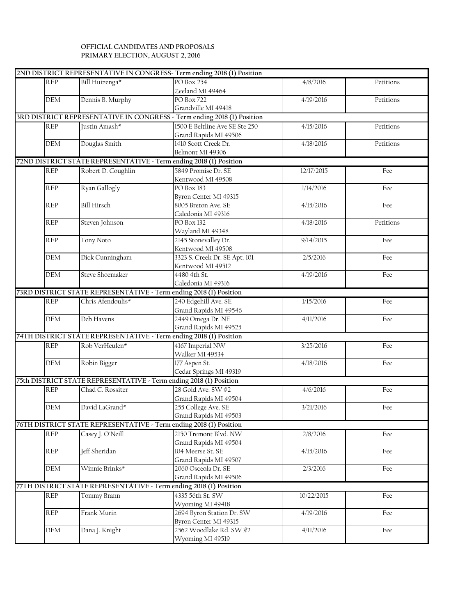## **OFFICIAL CANDIDATES AND PROPOSALS PRIMARY ELECTION, AUGUST 2, 2016**

| PO Box 254<br><b>REP</b><br>Bill Huizenga*<br>4/8/2016<br>Petitions<br>Zeeland MI 49464<br>Dennis B. Murphy<br><b>PO Box 722</b><br>DEM<br>4/19/2016<br>Petitions<br>Grandville MI 49418<br>3RD DISTRICT REPRESENTATIVE IN CONGRESS - Term ending 2018 (1) Position<br>1500 E Beltline Ave SE Ste 250<br><b>REP</b><br>Justin Amash*<br>4/15/2016<br>Petitions<br>Grand Rapids MI 49506<br>Douglas Smith<br>1410 Scott Creek Dr.<br>DEM<br>4/18/2016<br>Petitions<br>Belmont MI 49306<br>72ND DISTRICT STATE REPRESENTATIVE - Term ending 2018 (1) Position<br>Robert D. Coughlin<br>5849 Promise Dr. SE<br><b>REP</b><br>12/17/2015<br>Fee<br>Kentwood MI 49508<br>Ryan Gallogly<br><b>REP</b><br>PO Box 183<br>1/14/2016<br>Fee<br>Byron Center MI 49315<br><b>Bill Hirsch</b><br>8005 Breton Ave. SE<br><b>REP</b><br>4/15/2016<br>Fee<br>Caledonia MI 49316<br>Steven Johnson<br><b>REP</b><br>PO Box 132<br>4/18/2016<br>Petitions<br>Wayland MI 49348<br>Tony Noto<br>2145 Stonevalley Dr.<br><b>REP</b><br>9/14/2015<br>Fee<br>Kentwood MI 49508<br>Dick Cunningham<br>3323 S. Creek Dr. SE Apt. 101<br><b>DEM</b><br>2/5/2016<br>Fee<br>Kentwood MI 49512<br><b>Steve Shoemaker</b><br>4480 4th St.<br><b>DEM</b><br>4/19/2016<br>Fee<br>Caledonia MI 49316<br>73RD DISTRICT STATE REPRESENTATIVE - Term ending 2018 (1) Position<br>240 Edgehill Ave. SE<br>Chris Afendoulis*<br>1/15/2016<br><b>REP</b><br>Fee<br>Grand Rapids MI 49546<br>2449 Omega Dr. NE<br><b>DEM</b><br>Deb Havens<br>4/11/2016<br>Fee<br>Grand Rapids MI 49525<br>74TH DISTRICT STATE REPRESENTATIVE - Term ending 2018 (1) Position<br>Rob VerHeulen*<br>4167 Imperial NW<br><b>REP</b><br>3/25/2016<br>Fee<br>Walker MI 49534<br>DEM<br>Robin Bigger<br>177 Aspen St.<br>4/18/2016<br>Fee<br>Cedar Springs MI 49319<br>75th DISTRICT STATE REPRESENTATIVE - Term ending 2018 (1) Position<br>28 Gold Ave. SW #2<br>Chad C. Rossiter<br><b>REP</b><br>4/6/2016<br>Fee<br>Grand Rapids MI 49504<br>David LaGrand*<br>255 College Ave. SE<br>DEM<br>3/21/2016<br>Fee<br>Grand Rapids MI 49503<br>76TH DISTRICT STATE REPRESENTATIVE - Term ending 2018 (1) Position<br>2150 Tremont Blvd. NW<br><b>REP</b><br>Casey J. O'Neill<br>2/8/2016<br>Fee<br>Grand Rapids MI 49504<br>Jeff Sheridan<br>104 Meerse St. SE<br><b>REP</b><br>4/15/2016<br>Fee<br>Grand Rapids MI 49507<br>Winnie Brinks*<br>2060 Osceola Dr. SE<br><b>DEM</b><br>2/3/2016<br>Fee<br>Grand Rapids MI 49506<br>77TH DISTRICT STATE REPRESENTATIVE - Term ending 2018 (1) Position<br>4335 56th St. SW<br><b>REP</b><br>Tommy Brann<br>10/22/2015<br>Fee<br>Wyoming MI 49418<br>2694 Byron Station Dr. SW<br>Frank Murin<br>REP<br>4/19/2016<br>Fee<br>Byron Center MI 49315<br>2562 Woodlake Rd. SW #2<br>Dana J. Knight<br>DEM<br>4/11/2016<br>Fee<br>Wyoming MI 49519 |  | 2ND DISTRICT REPRESENTATIVE IN CONGRESS- Term ending 2018 (1) Position |  |
|----------------------------------------------------------------------------------------------------------------------------------------------------------------------------------------------------------------------------------------------------------------------------------------------------------------------------------------------------------------------------------------------------------------------------------------------------------------------------------------------------------------------------------------------------------------------------------------------------------------------------------------------------------------------------------------------------------------------------------------------------------------------------------------------------------------------------------------------------------------------------------------------------------------------------------------------------------------------------------------------------------------------------------------------------------------------------------------------------------------------------------------------------------------------------------------------------------------------------------------------------------------------------------------------------------------------------------------------------------------------------------------------------------------------------------------------------------------------------------------------------------------------------------------------------------------------------------------------------------------------------------------------------------------------------------------------------------------------------------------------------------------------------------------------------------------------------------------------------------------------------------------------------------------------------------------------------------------------------------------------------------------------------------------------------------------------------------------------------------------------------------------------------------------------------------------------------------------------------------------------------------------------------------------------------------------------------------------------------------------------------------------------------------------------------------------------------------------------------------------------------------------------------------------------------------------------------------------------------------------------------------------------------------------------------------------------------------------------------------------------------------------------------------------------------------------------------|--|------------------------------------------------------------------------|--|
|                                                                                                                                                                                                                                                                                                                                                                                                                                                                                                                                                                                                                                                                                                                                                                                                                                                                                                                                                                                                                                                                                                                                                                                                                                                                                                                                                                                                                                                                                                                                                                                                                                                                                                                                                                                                                                                                                                                                                                                                                                                                                                                                                                                                                                                                                                                                                                                                                                                                                                                                                                                                                                                                                                                                                                                                                            |  |                                                                        |  |
|                                                                                                                                                                                                                                                                                                                                                                                                                                                                                                                                                                                                                                                                                                                                                                                                                                                                                                                                                                                                                                                                                                                                                                                                                                                                                                                                                                                                                                                                                                                                                                                                                                                                                                                                                                                                                                                                                                                                                                                                                                                                                                                                                                                                                                                                                                                                                                                                                                                                                                                                                                                                                                                                                                                                                                                                                            |  |                                                                        |  |
|                                                                                                                                                                                                                                                                                                                                                                                                                                                                                                                                                                                                                                                                                                                                                                                                                                                                                                                                                                                                                                                                                                                                                                                                                                                                                                                                                                                                                                                                                                                                                                                                                                                                                                                                                                                                                                                                                                                                                                                                                                                                                                                                                                                                                                                                                                                                                                                                                                                                                                                                                                                                                                                                                                                                                                                                                            |  |                                                                        |  |
|                                                                                                                                                                                                                                                                                                                                                                                                                                                                                                                                                                                                                                                                                                                                                                                                                                                                                                                                                                                                                                                                                                                                                                                                                                                                                                                                                                                                                                                                                                                                                                                                                                                                                                                                                                                                                                                                                                                                                                                                                                                                                                                                                                                                                                                                                                                                                                                                                                                                                                                                                                                                                                                                                                                                                                                                                            |  |                                                                        |  |
|                                                                                                                                                                                                                                                                                                                                                                                                                                                                                                                                                                                                                                                                                                                                                                                                                                                                                                                                                                                                                                                                                                                                                                                                                                                                                                                                                                                                                                                                                                                                                                                                                                                                                                                                                                                                                                                                                                                                                                                                                                                                                                                                                                                                                                                                                                                                                                                                                                                                                                                                                                                                                                                                                                                                                                                                                            |  |                                                                        |  |
|                                                                                                                                                                                                                                                                                                                                                                                                                                                                                                                                                                                                                                                                                                                                                                                                                                                                                                                                                                                                                                                                                                                                                                                                                                                                                                                                                                                                                                                                                                                                                                                                                                                                                                                                                                                                                                                                                                                                                                                                                                                                                                                                                                                                                                                                                                                                                                                                                                                                                                                                                                                                                                                                                                                                                                                                                            |  |                                                                        |  |
|                                                                                                                                                                                                                                                                                                                                                                                                                                                                                                                                                                                                                                                                                                                                                                                                                                                                                                                                                                                                                                                                                                                                                                                                                                                                                                                                                                                                                                                                                                                                                                                                                                                                                                                                                                                                                                                                                                                                                                                                                                                                                                                                                                                                                                                                                                                                                                                                                                                                                                                                                                                                                                                                                                                                                                                                                            |  |                                                                        |  |
|                                                                                                                                                                                                                                                                                                                                                                                                                                                                                                                                                                                                                                                                                                                                                                                                                                                                                                                                                                                                                                                                                                                                                                                                                                                                                                                                                                                                                                                                                                                                                                                                                                                                                                                                                                                                                                                                                                                                                                                                                                                                                                                                                                                                                                                                                                                                                                                                                                                                                                                                                                                                                                                                                                                                                                                                                            |  |                                                                        |  |
|                                                                                                                                                                                                                                                                                                                                                                                                                                                                                                                                                                                                                                                                                                                                                                                                                                                                                                                                                                                                                                                                                                                                                                                                                                                                                                                                                                                                                                                                                                                                                                                                                                                                                                                                                                                                                                                                                                                                                                                                                                                                                                                                                                                                                                                                                                                                                                                                                                                                                                                                                                                                                                                                                                                                                                                                                            |  |                                                                        |  |
|                                                                                                                                                                                                                                                                                                                                                                                                                                                                                                                                                                                                                                                                                                                                                                                                                                                                                                                                                                                                                                                                                                                                                                                                                                                                                                                                                                                                                                                                                                                                                                                                                                                                                                                                                                                                                                                                                                                                                                                                                                                                                                                                                                                                                                                                                                                                                                                                                                                                                                                                                                                                                                                                                                                                                                                                                            |  |                                                                        |  |
|                                                                                                                                                                                                                                                                                                                                                                                                                                                                                                                                                                                                                                                                                                                                                                                                                                                                                                                                                                                                                                                                                                                                                                                                                                                                                                                                                                                                                                                                                                                                                                                                                                                                                                                                                                                                                                                                                                                                                                                                                                                                                                                                                                                                                                                                                                                                                                                                                                                                                                                                                                                                                                                                                                                                                                                                                            |  |                                                                        |  |
|                                                                                                                                                                                                                                                                                                                                                                                                                                                                                                                                                                                                                                                                                                                                                                                                                                                                                                                                                                                                                                                                                                                                                                                                                                                                                                                                                                                                                                                                                                                                                                                                                                                                                                                                                                                                                                                                                                                                                                                                                                                                                                                                                                                                                                                                                                                                                                                                                                                                                                                                                                                                                                                                                                                                                                                                                            |  |                                                                        |  |
|                                                                                                                                                                                                                                                                                                                                                                                                                                                                                                                                                                                                                                                                                                                                                                                                                                                                                                                                                                                                                                                                                                                                                                                                                                                                                                                                                                                                                                                                                                                                                                                                                                                                                                                                                                                                                                                                                                                                                                                                                                                                                                                                                                                                                                                                                                                                                                                                                                                                                                                                                                                                                                                                                                                                                                                                                            |  |                                                                        |  |
|                                                                                                                                                                                                                                                                                                                                                                                                                                                                                                                                                                                                                                                                                                                                                                                                                                                                                                                                                                                                                                                                                                                                                                                                                                                                                                                                                                                                                                                                                                                                                                                                                                                                                                                                                                                                                                                                                                                                                                                                                                                                                                                                                                                                                                                                                                                                                                                                                                                                                                                                                                                                                                                                                                                                                                                                                            |  |                                                                        |  |
|                                                                                                                                                                                                                                                                                                                                                                                                                                                                                                                                                                                                                                                                                                                                                                                                                                                                                                                                                                                                                                                                                                                                                                                                                                                                                                                                                                                                                                                                                                                                                                                                                                                                                                                                                                                                                                                                                                                                                                                                                                                                                                                                                                                                                                                                                                                                                                                                                                                                                                                                                                                                                                                                                                                                                                                                                            |  |                                                                        |  |
|                                                                                                                                                                                                                                                                                                                                                                                                                                                                                                                                                                                                                                                                                                                                                                                                                                                                                                                                                                                                                                                                                                                                                                                                                                                                                                                                                                                                                                                                                                                                                                                                                                                                                                                                                                                                                                                                                                                                                                                                                                                                                                                                                                                                                                                                                                                                                                                                                                                                                                                                                                                                                                                                                                                                                                                                                            |  |                                                                        |  |
|                                                                                                                                                                                                                                                                                                                                                                                                                                                                                                                                                                                                                                                                                                                                                                                                                                                                                                                                                                                                                                                                                                                                                                                                                                                                                                                                                                                                                                                                                                                                                                                                                                                                                                                                                                                                                                                                                                                                                                                                                                                                                                                                                                                                                                                                                                                                                                                                                                                                                                                                                                                                                                                                                                                                                                                                                            |  |                                                                        |  |
|                                                                                                                                                                                                                                                                                                                                                                                                                                                                                                                                                                                                                                                                                                                                                                                                                                                                                                                                                                                                                                                                                                                                                                                                                                                                                                                                                                                                                                                                                                                                                                                                                                                                                                                                                                                                                                                                                                                                                                                                                                                                                                                                                                                                                                                                                                                                                                                                                                                                                                                                                                                                                                                                                                                                                                                                                            |  |                                                                        |  |
|                                                                                                                                                                                                                                                                                                                                                                                                                                                                                                                                                                                                                                                                                                                                                                                                                                                                                                                                                                                                                                                                                                                                                                                                                                                                                                                                                                                                                                                                                                                                                                                                                                                                                                                                                                                                                                                                                                                                                                                                                                                                                                                                                                                                                                                                                                                                                                                                                                                                                                                                                                                                                                                                                                                                                                                                                            |  |                                                                        |  |
|                                                                                                                                                                                                                                                                                                                                                                                                                                                                                                                                                                                                                                                                                                                                                                                                                                                                                                                                                                                                                                                                                                                                                                                                                                                                                                                                                                                                                                                                                                                                                                                                                                                                                                                                                                                                                                                                                                                                                                                                                                                                                                                                                                                                                                                                                                                                                                                                                                                                                                                                                                                                                                                                                                                                                                                                                            |  |                                                                        |  |
|                                                                                                                                                                                                                                                                                                                                                                                                                                                                                                                                                                                                                                                                                                                                                                                                                                                                                                                                                                                                                                                                                                                                                                                                                                                                                                                                                                                                                                                                                                                                                                                                                                                                                                                                                                                                                                                                                                                                                                                                                                                                                                                                                                                                                                                                                                                                                                                                                                                                                                                                                                                                                                                                                                                                                                                                                            |  |                                                                        |  |
|                                                                                                                                                                                                                                                                                                                                                                                                                                                                                                                                                                                                                                                                                                                                                                                                                                                                                                                                                                                                                                                                                                                                                                                                                                                                                                                                                                                                                                                                                                                                                                                                                                                                                                                                                                                                                                                                                                                                                                                                                                                                                                                                                                                                                                                                                                                                                                                                                                                                                                                                                                                                                                                                                                                                                                                                                            |  |                                                                        |  |
|                                                                                                                                                                                                                                                                                                                                                                                                                                                                                                                                                                                                                                                                                                                                                                                                                                                                                                                                                                                                                                                                                                                                                                                                                                                                                                                                                                                                                                                                                                                                                                                                                                                                                                                                                                                                                                                                                                                                                                                                                                                                                                                                                                                                                                                                                                                                                                                                                                                                                                                                                                                                                                                                                                                                                                                                                            |  |                                                                        |  |
|                                                                                                                                                                                                                                                                                                                                                                                                                                                                                                                                                                                                                                                                                                                                                                                                                                                                                                                                                                                                                                                                                                                                                                                                                                                                                                                                                                                                                                                                                                                                                                                                                                                                                                                                                                                                                                                                                                                                                                                                                                                                                                                                                                                                                                                                                                                                                                                                                                                                                                                                                                                                                                                                                                                                                                                                                            |  |                                                                        |  |
|                                                                                                                                                                                                                                                                                                                                                                                                                                                                                                                                                                                                                                                                                                                                                                                                                                                                                                                                                                                                                                                                                                                                                                                                                                                                                                                                                                                                                                                                                                                                                                                                                                                                                                                                                                                                                                                                                                                                                                                                                                                                                                                                                                                                                                                                                                                                                                                                                                                                                                                                                                                                                                                                                                                                                                                                                            |  |                                                                        |  |
|                                                                                                                                                                                                                                                                                                                                                                                                                                                                                                                                                                                                                                                                                                                                                                                                                                                                                                                                                                                                                                                                                                                                                                                                                                                                                                                                                                                                                                                                                                                                                                                                                                                                                                                                                                                                                                                                                                                                                                                                                                                                                                                                                                                                                                                                                                                                                                                                                                                                                                                                                                                                                                                                                                                                                                                                                            |  |                                                                        |  |
|                                                                                                                                                                                                                                                                                                                                                                                                                                                                                                                                                                                                                                                                                                                                                                                                                                                                                                                                                                                                                                                                                                                                                                                                                                                                                                                                                                                                                                                                                                                                                                                                                                                                                                                                                                                                                                                                                                                                                                                                                                                                                                                                                                                                                                                                                                                                                                                                                                                                                                                                                                                                                                                                                                                                                                                                                            |  |                                                                        |  |
|                                                                                                                                                                                                                                                                                                                                                                                                                                                                                                                                                                                                                                                                                                                                                                                                                                                                                                                                                                                                                                                                                                                                                                                                                                                                                                                                                                                                                                                                                                                                                                                                                                                                                                                                                                                                                                                                                                                                                                                                                                                                                                                                                                                                                                                                                                                                                                                                                                                                                                                                                                                                                                                                                                                                                                                                                            |  |                                                                        |  |
|                                                                                                                                                                                                                                                                                                                                                                                                                                                                                                                                                                                                                                                                                                                                                                                                                                                                                                                                                                                                                                                                                                                                                                                                                                                                                                                                                                                                                                                                                                                                                                                                                                                                                                                                                                                                                                                                                                                                                                                                                                                                                                                                                                                                                                                                                                                                                                                                                                                                                                                                                                                                                                                                                                                                                                                                                            |  |                                                                        |  |
|                                                                                                                                                                                                                                                                                                                                                                                                                                                                                                                                                                                                                                                                                                                                                                                                                                                                                                                                                                                                                                                                                                                                                                                                                                                                                                                                                                                                                                                                                                                                                                                                                                                                                                                                                                                                                                                                                                                                                                                                                                                                                                                                                                                                                                                                                                                                                                                                                                                                                                                                                                                                                                                                                                                                                                                                                            |  |                                                                        |  |
|                                                                                                                                                                                                                                                                                                                                                                                                                                                                                                                                                                                                                                                                                                                                                                                                                                                                                                                                                                                                                                                                                                                                                                                                                                                                                                                                                                                                                                                                                                                                                                                                                                                                                                                                                                                                                                                                                                                                                                                                                                                                                                                                                                                                                                                                                                                                                                                                                                                                                                                                                                                                                                                                                                                                                                                                                            |  |                                                                        |  |
|                                                                                                                                                                                                                                                                                                                                                                                                                                                                                                                                                                                                                                                                                                                                                                                                                                                                                                                                                                                                                                                                                                                                                                                                                                                                                                                                                                                                                                                                                                                                                                                                                                                                                                                                                                                                                                                                                                                                                                                                                                                                                                                                                                                                                                                                                                                                                                                                                                                                                                                                                                                                                                                                                                                                                                                                                            |  |                                                                        |  |
|                                                                                                                                                                                                                                                                                                                                                                                                                                                                                                                                                                                                                                                                                                                                                                                                                                                                                                                                                                                                                                                                                                                                                                                                                                                                                                                                                                                                                                                                                                                                                                                                                                                                                                                                                                                                                                                                                                                                                                                                                                                                                                                                                                                                                                                                                                                                                                                                                                                                                                                                                                                                                                                                                                                                                                                                                            |  |                                                                        |  |
|                                                                                                                                                                                                                                                                                                                                                                                                                                                                                                                                                                                                                                                                                                                                                                                                                                                                                                                                                                                                                                                                                                                                                                                                                                                                                                                                                                                                                                                                                                                                                                                                                                                                                                                                                                                                                                                                                                                                                                                                                                                                                                                                                                                                                                                                                                                                                                                                                                                                                                                                                                                                                                                                                                                                                                                                                            |  |                                                                        |  |
|                                                                                                                                                                                                                                                                                                                                                                                                                                                                                                                                                                                                                                                                                                                                                                                                                                                                                                                                                                                                                                                                                                                                                                                                                                                                                                                                                                                                                                                                                                                                                                                                                                                                                                                                                                                                                                                                                                                                                                                                                                                                                                                                                                                                                                                                                                                                                                                                                                                                                                                                                                                                                                                                                                                                                                                                                            |  |                                                                        |  |
|                                                                                                                                                                                                                                                                                                                                                                                                                                                                                                                                                                                                                                                                                                                                                                                                                                                                                                                                                                                                                                                                                                                                                                                                                                                                                                                                                                                                                                                                                                                                                                                                                                                                                                                                                                                                                                                                                                                                                                                                                                                                                                                                                                                                                                                                                                                                                                                                                                                                                                                                                                                                                                                                                                                                                                                                                            |  |                                                                        |  |
|                                                                                                                                                                                                                                                                                                                                                                                                                                                                                                                                                                                                                                                                                                                                                                                                                                                                                                                                                                                                                                                                                                                                                                                                                                                                                                                                                                                                                                                                                                                                                                                                                                                                                                                                                                                                                                                                                                                                                                                                                                                                                                                                                                                                                                                                                                                                                                                                                                                                                                                                                                                                                                                                                                                                                                                                                            |  |                                                                        |  |
|                                                                                                                                                                                                                                                                                                                                                                                                                                                                                                                                                                                                                                                                                                                                                                                                                                                                                                                                                                                                                                                                                                                                                                                                                                                                                                                                                                                                                                                                                                                                                                                                                                                                                                                                                                                                                                                                                                                                                                                                                                                                                                                                                                                                                                                                                                                                                                                                                                                                                                                                                                                                                                                                                                                                                                                                                            |  |                                                                        |  |
|                                                                                                                                                                                                                                                                                                                                                                                                                                                                                                                                                                                                                                                                                                                                                                                                                                                                                                                                                                                                                                                                                                                                                                                                                                                                                                                                                                                                                                                                                                                                                                                                                                                                                                                                                                                                                                                                                                                                                                                                                                                                                                                                                                                                                                                                                                                                                                                                                                                                                                                                                                                                                                                                                                                                                                                                                            |  |                                                                        |  |
|                                                                                                                                                                                                                                                                                                                                                                                                                                                                                                                                                                                                                                                                                                                                                                                                                                                                                                                                                                                                                                                                                                                                                                                                                                                                                                                                                                                                                                                                                                                                                                                                                                                                                                                                                                                                                                                                                                                                                                                                                                                                                                                                                                                                                                                                                                                                                                                                                                                                                                                                                                                                                                                                                                                                                                                                                            |  |                                                                        |  |
|                                                                                                                                                                                                                                                                                                                                                                                                                                                                                                                                                                                                                                                                                                                                                                                                                                                                                                                                                                                                                                                                                                                                                                                                                                                                                                                                                                                                                                                                                                                                                                                                                                                                                                                                                                                                                                                                                                                                                                                                                                                                                                                                                                                                                                                                                                                                                                                                                                                                                                                                                                                                                                                                                                                                                                                                                            |  |                                                                        |  |
|                                                                                                                                                                                                                                                                                                                                                                                                                                                                                                                                                                                                                                                                                                                                                                                                                                                                                                                                                                                                                                                                                                                                                                                                                                                                                                                                                                                                                                                                                                                                                                                                                                                                                                                                                                                                                                                                                                                                                                                                                                                                                                                                                                                                                                                                                                                                                                                                                                                                                                                                                                                                                                                                                                                                                                                                                            |  |                                                                        |  |
|                                                                                                                                                                                                                                                                                                                                                                                                                                                                                                                                                                                                                                                                                                                                                                                                                                                                                                                                                                                                                                                                                                                                                                                                                                                                                                                                                                                                                                                                                                                                                                                                                                                                                                                                                                                                                                                                                                                                                                                                                                                                                                                                                                                                                                                                                                                                                                                                                                                                                                                                                                                                                                                                                                                                                                                                                            |  |                                                                        |  |
|                                                                                                                                                                                                                                                                                                                                                                                                                                                                                                                                                                                                                                                                                                                                                                                                                                                                                                                                                                                                                                                                                                                                                                                                                                                                                                                                                                                                                                                                                                                                                                                                                                                                                                                                                                                                                                                                                                                                                                                                                                                                                                                                                                                                                                                                                                                                                                                                                                                                                                                                                                                                                                                                                                                                                                                                                            |  |                                                                        |  |
|                                                                                                                                                                                                                                                                                                                                                                                                                                                                                                                                                                                                                                                                                                                                                                                                                                                                                                                                                                                                                                                                                                                                                                                                                                                                                                                                                                                                                                                                                                                                                                                                                                                                                                                                                                                                                                                                                                                                                                                                                                                                                                                                                                                                                                                                                                                                                                                                                                                                                                                                                                                                                                                                                                                                                                                                                            |  |                                                                        |  |
|                                                                                                                                                                                                                                                                                                                                                                                                                                                                                                                                                                                                                                                                                                                                                                                                                                                                                                                                                                                                                                                                                                                                                                                                                                                                                                                                                                                                                                                                                                                                                                                                                                                                                                                                                                                                                                                                                                                                                                                                                                                                                                                                                                                                                                                                                                                                                                                                                                                                                                                                                                                                                                                                                                                                                                                                                            |  |                                                                        |  |
|                                                                                                                                                                                                                                                                                                                                                                                                                                                                                                                                                                                                                                                                                                                                                                                                                                                                                                                                                                                                                                                                                                                                                                                                                                                                                                                                                                                                                                                                                                                                                                                                                                                                                                                                                                                                                                                                                                                                                                                                                                                                                                                                                                                                                                                                                                                                                                                                                                                                                                                                                                                                                                                                                                                                                                                                                            |  |                                                                        |  |
|                                                                                                                                                                                                                                                                                                                                                                                                                                                                                                                                                                                                                                                                                                                                                                                                                                                                                                                                                                                                                                                                                                                                                                                                                                                                                                                                                                                                                                                                                                                                                                                                                                                                                                                                                                                                                                                                                                                                                                                                                                                                                                                                                                                                                                                                                                                                                                                                                                                                                                                                                                                                                                                                                                                                                                                                                            |  |                                                                        |  |
|                                                                                                                                                                                                                                                                                                                                                                                                                                                                                                                                                                                                                                                                                                                                                                                                                                                                                                                                                                                                                                                                                                                                                                                                                                                                                                                                                                                                                                                                                                                                                                                                                                                                                                                                                                                                                                                                                                                                                                                                                                                                                                                                                                                                                                                                                                                                                                                                                                                                                                                                                                                                                                                                                                                                                                                                                            |  |                                                                        |  |
|                                                                                                                                                                                                                                                                                                                                                                                                                                                                                                                                                                                                                                                                                                                                                                                                                                                                                                                                                                                                                                                                                                                                                                                                                                                                                                                                                                                                                                                                                                                                                                                                                                                                                                                                                                                                                                                                                                                                                                                                                                                                                                                                                                                                                                                                                                                                                                                                                                                                                                                                                                                                                                                                                                                                                                                                                            |  |                                                                        |  |
|                                                                                                                                                                                                                                                                                                                                                                                                                                                                                                                                                                                                                                                                                                                                                                                                                                                                                                                                                                                                                                                                                                                                                                                                                                                                                                                                                                                                                                                                                                                                                                                                                                                                                                                                                                                                                                                                                                                                                                                                                                                                                                                                                                                                                                                                                                                                                                                                                                                                                                                                                                                                                                                                                                                                                                                                                            |  |                                                                        |  |
|                                                                                                                                                                                                                                                                                                                                                                                                                                                                                                                                                                                                                                                                                                                                                                                                                                                                                                                                                                                                                                                                                                                                                                                                                                                                                                                                                                                                                                                                                                                                                                                                                                                                                                                                                                                                                                                                                                                                                                                                                                                                                                                                                                                                                                                                                                                                                                                                                                                                                                                                                                                                                                                                                                                                                                                                                            |  |                                                                        |  |
|                                                                                                                                                                                                                                                                                                                                                                                                                                                                                                                                                                                                                                                                                                                                                                                                                                                                                                                                                                                                                                                                                                                                                                                                                                                                                                                                                                                                                                                                                                                                                                                                                                                                                                                                                                                                                                                                                                                                                                                                                                                                                                                                                                                                                                                                                                                                                                                                                                                                                                                                                                                                                                                                                                                                                                                                                            |  |                                                                        |  |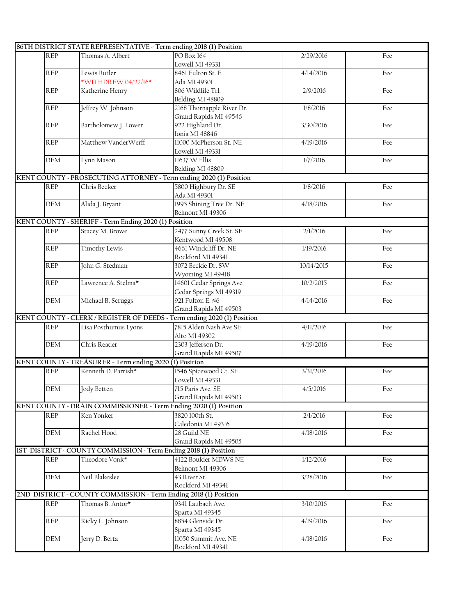|             | 86TH DISTRICT STATE REPRESENTATIVE - Term ending 2018 (1) Position |                                                                         |            |     |
|-------------|--------------------------------------------------------------------|-------------------------------------------------------------------------|------------|-----|
| <b>REP</b>  | Thomas A. Albert                                                   | PO Box 164                                                              | 2/29/2016  | Fee |
|             |                                                                    | Lowell MI 49331                                                         |            |     |
| <b>REP</b>  | Lewis Butler                                                       | 8461 Fulton St. E                                                       | 4/14/2016  | Fee |
|             | *WITHDREW 04/22/16*                                                | Ada MI 49301                                                            |            |     |
| <b>REP</b>  | Katherine Henry                                                    | 806 Wildlife Trl.                                                       | 2/9/2016   | Fee |
|             |                                                                    | Belding MI 48809                                                        |            |     |
| <b>REP</b>  | Jeffrey W. Johnson                                                 | 2168 Thornapple River Dr.                                               | 1/8/2016   | Fee |
|             |                                                                    | Grand Rapids MI 49546                                                   |            |     |
| <b>REP</b>  | Bartholomew J. Lower                                               | 922 Highland Dr.                                                        | 3/30/2016  | Fee |
|             |                                                                    | Ionia MI 48846                                                          |            |     |
| <b>REP</b>  | Matthew VanderWerff                                                | 11000 McPherson St. NE                                                  | 4/19/2016  | Fee |
|             |                                                                    | Lowell MI 49331                                                         |            |     |
| <b>DEM</b>  | Lynn Mason                                                         | 11637 W Ellis                                                           | 1/7/2016   | Fee |
|             |                                                                    | Belding MI 48809                                                        |            |     |
|             |                                                                    | KENT COUNTY - PROSECUTING ATTORNEY - Term ending 2020 (1) Position      |            |     |
| REP         | Chris Becker                                                       | 5800 Highbury Dr. SE                                                    | 1/8/2016   | Fee |
|             |                                                                    | Ada MI 49301                                                            |            |     |
| DEM         | Alida J. Bryant                                                    | 1995 Shining Tree Dr. NE                                                | 4/18/2016  | Fee |
|             |                                                                    | Belmont MI 49306                                                        |            |     |
|             | KENT COUNTY - SHERIFF - Term Ending 2020 (1) Position              |                                                                         |            |     |
| <b>REP</b>  | Stacey M. Browe                                                    | 2477 Sunny Creek St. SE                                                 | 2/1/2016   | Fee |
|             |                                                                    | Kentwood MI 49508                                                       |            |     |
| <b>REP</b>  | <b>Timothy Lewis</b>                                               | 4661 Windcliff Dr. NE                                                   | 1/19/2016  | Fee |
|             |                                                                    | Rockford MI 49341                                                       |            |     |
| <b>REP</b>  | John G. Stedman                                                    | 3072 Beckie Dr. SW                                                      | 10/14/2015 | Fee |
|             |                                                                    |                                                                         |            |     |
| <b>REP</b>  | Lawrence A. Stelma*                                                | Wyoming MI 49418<br>14601 Cedar Springs Ave.                            | 10/2/2015  | Fee |
|             |                                                                    |                                                                         |            |     |
|             |                                                                    | Cedar Springs MI 49319                                                  |            |     |
| <b>DEM</b>  | Michael B. Scruggs                                                 | 921 Fulton E. #6                                                        | 4/14/2016  | Fee |
|             |                                                                    | Grand Rapids MI 49503                                                   |            |     |
|             |                                                                    | KENT COUNTY - CLERK / REGISTER OF DEEDS - Term ending 2020 (1) Position |            |     |
| <b>REP</b>  | Lisa Posthumus Lyons                                               | 7815 Alden Nash Ave SE                                                  | 4/11/2016  | Fee |
|             |                                                                    | Alto MI 49302                                                           |            |     |
| <b>DEM</b>  | Chris Reader                                                       | 2303 Jefferson Dr.                                                      | 4/19/2016  | Fee |
|             |                                                                    | Grand Rapids MI 49507                                                   |            |     |
|             | KENT COUNTY - TREASURER - Term ending 2020 (1) Position            |                                                                         |            |     |
| <b>REP</b>  | Kenneth D. Parrish*                                                | 1546 Spicewood Ct. SE                                                   | 3/31/2016  | Fee |
|             |                                                                    | Lowell MI 49331                                                         |            |     |
| ${\rm DEM}$ | Jody Betten                                                        | 715 Paris Ave. SE                                                       | 4/5/2016   | Fee |
|             |                                                                    | Grand Rapids MI 49503                                                   |            |     |
|             | KENT COUNTY - DRAIN COMMISSIONER - Term Ending 2020 (1) Position   |                                                                         |            |     |
| REP         | Ken Yonker                                                         | 3820 100th St.                                                          | 2/1/2016   | Fee |
|             |                                                                    | Caledonia MI 49316                                                      |            |     |
| DEM         | Rachel Hood                                                        | 28 Guild NE                                                             | 4/18/2016  | Fee |
|             |                                                                    | Grand Rapids MI 49505                                                   |            |     |
|             | IST DISTRICT - COUNTY COMMISSION - Term Ending 2018 (1) Position   |                                                                         |            |     |
| <b>REP</b>  | Theodore Vonk*                                                     | 4122 Boulder MDWS NE                                                    | 1/12/2016  | Fee |
|             |                                                                    | Belmont MI 49306                                                        |            |     |
| DEM         | Neil Blakeslee                                                     | 43 River St.                                                            | 3/28/2016  | Fee |
|             |                                                                    | Rockford MI 49341                                                       |            |     |
|             | 2ND DISTRICT - COUNTY COMMISSION - Term Ending 2018 (1) Position   |                                                                         |            |     |
| REP         | Thomas B. Antor*                                                   | 9341 Laubach Ave.                                                       | 3/10/2016  | Fee |
|             |                                                                    | Sparta MI 49345                                                         |            |     |
| <b>REP</b>  | Ricky L. Johnson                                                   | 8854 Glenside Dr.                                                       | 4/19/2016  | Fee |
|             |                                                                    | Sparta MI 49345                                                         |            |     |
| <b>DEM</b>  | Jerry D. Berta                                                     | 11050 Summit Ave. NE                                                    | 4/18/2016  | Fee |
|             |                                                                    | Rockford MI 49341                                                       |            |     |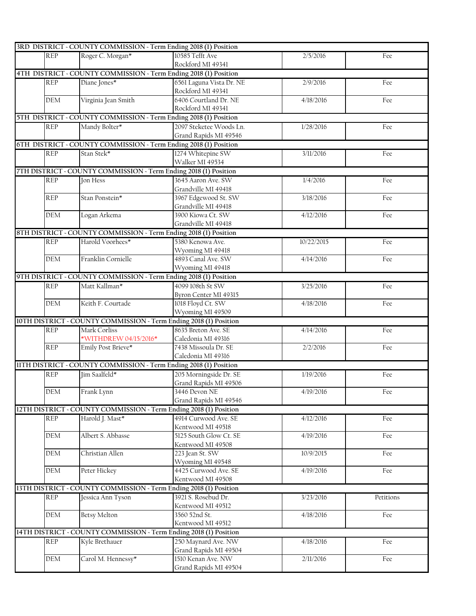|                             | 3RD DISTRICT - COUNTY COMMISSION - Term Ending 2018 (1) Position  |                          |            |           |
|-----------------------------|-------------------------------------------------------------------|--------------------------|------------|-----------|
| <b>REP</b>                  | Roger C. Morgan*                                                  | 10585 Tefft Ave          | 2/5/2016   | Fee       |
|                             |                                                                   | Rockford MI 49341        |            |           |
|                             | 4TH DISTRICT - COUNTY COMMISSION - Term Ending 2018 (1) Position  |                          |            |           |
| REP                         | Diane Jones*                                                      | 6561 Laguna Vista Dr. NE | 2/9/2016   | Fee       |
|                             |                                                                   | Rockford MI 49341        |            |           |
| $\mathop{\rm DEM}\nolimits$ | Virginia Jean Smith                                               | 6406 Courtland Dr. NE    | 4/18/2016  | Fee       |
|                             |                                                                   | Rockford MI 49341        |            |           |
|                             | 5TH DISTRICT - COUNTY COMMISSION - Term Ending 2018 (1) Position  |                          |            |           |
| <b>REP</b>                  | Mandy Bolter*                                                     | 2097 Steketee Woods Ln.  | 1/28/2016  | Fee       |
|                             |                                                                   | Grand Rapids MI 49546    |            |           |
|                             | 6TH DISTRICT - COUNTY COMMISSION - Term Ending 2018 (1) Position  |                          |            |           |
|                             |                                                                   | 1274 Whitepine SW        | 3/11/2016  |           |
| <b>REP</b>                  | Stan Stek*                                                        | Walker MI 49534          |            | Fee       |
|                             |                                                                   |                          |            |           |
|                             | 7TH DISTRICT - COUNTY COMMISSION - Term Ending 2018 (1) Position  |                          |            |           |
| <b>REP</b>                  | Jon Hess                                                          | 3645 Aaron Ave. SW       | 1/4/2016   | Fee       |
|                             |                                                                   | Grandville MI 49418      |            |           |
| <b>REP</b>                  | Stan Ponstein*                                                    | 3967 Edgewood St. SW     | 3/18/2016  | Fee       |
|                             |                                                                   | Grandville MI 49418      |            |           |
| <b>DEM</b>                  | Logan Arkema                                                      | 3900 Kiowa Ct. SW        | 4/12/2016  | Fee       |
|                             |                                                                   | Grandville MI 49418      |            |           |
|                             | 8TH DISTRICT - COUNTY COMMISSION - Term Ending 2018 (1) Position  |                          |            |           |
| <b>REP</b>                  | Harold Voorhees*                                                  | 5380 Kenowa Ave.         | 10/22/2015 | Fee       |
|                             |                                                                   | Wyoming MI 49418         |            |           |
| <b>DEM</b>                  | Franklin Cornielle                                                | 4893 Canal Ave. SW       | 4/14/2016  | Fee       |
|                             |                                                                   | Wyoming MI 49418         |            |           |
|                             | 9TH DISTRICT - COUNTY COMMISSION - Term Ending 2018 (1) Position  |                          |            |           |
| <b>REP</b>                  | Matt Kallman*                                                     | 4099 108th St SW         | 3/25/2016  | Fee       |
|                             |                                                                   | Byron Center MI 49315    |            |           |
| DEM                         | Keith F. Courtade                                                 | 1018 Floyd Ct. SW        | 4/18/2016  | Fee       |
|                             |                                                                   | Wyoming MI 49509         |            |           |
|                             | 10TH DISTRICT - COUNTY COMMISSION - Term Ending 2018 (1) Position |                          |            |           |
| <b>REP</b>                  | Mark Corliss                                                      | 8635 Breton Ave. SE      | 4/14/2016  | Fee       |
|                             | *WITHDREW 04/15/2016*                                             | Caledonia MI 49316       |            |           |
| <b>REP</b>                  | Emily Post Brieve*                                                | 7438 Missoula Dr. SE     | 2/2/2016   | Fee       |
|                             |                                                                   | Caledonia MI 49316       |            |           |
|                             | IITH DISTRICT - COUNTY COMMISSION - Term Ending 2018 (1) Position |                          |            |           |
|                             |                                                                   |                          |            |           |
| <b>REP</b>                  | Jim Saalfeld*                                                     | 205 Morningside Dr. SE   | 1/19/2016  | Fee       |
|                             |                                                                   | Grand Rapids MI 49506    |            |           |
| DEM                         | Frank Lynn                                                        | 3446 Devon NE            | 4/19/2016  | Fee       |
|                             |                                                                   | Grand Rapids MI 49546    |            |           |
|                             | 12TH DISTRICT - COUNTY COMMISSION - Term Ending 2018 (1) Position |                          |            |           |
| <b>REP</b>                  | Harold J. Mast*                                                   | 4914 Curwood Ave. SE     | 4/12/2016  | Fee       |
|                             |                                                                   | Kentwood MI 49518        |            |           |
| DEM                         | Albert S. Abbasse                                                 | 5125 South Glow Ct. SE   | 4/19/2016  | Fee       |
|                             |                                                                   | Kentwood MI 49508        |            |           |
| DEM                         | Christian Allen                                                   | 223 Jean St. SW          | 10/9/2015  | Fee       |
|                             |                                                                   | Wyoming MI 49548         |            |           |
| <b>DEM</b>                  | Peter Hickey                                                      | 4425 Curwood Ave. SE     | 4/19/2016  | Fee       |
|                             |                                                                   | Kentwood MI 49508        |            |           |
|                             | 13TH DISTRICT - COUNTY COMMISSION - Term Ending 2018 (1) Position |                          |            |           |
| <b>REP</b>                  | Jessica Ann Tyson                                                 | 3921 S. Rosebud Dr.      | 3/23/2016  | Petitions |
|                             |                                                                   | Kentwood MI 49512        |            |           |
| DEM                         | Betsy Melton                                                      | 3560 52nd St.            | 4/18/2016  | Fee       |
|                             |                                                                   | Kentwood MI 49512        |            |           |
|                             | 14TH DISTRICT - COUNTY COMMISSION - Term Ending 2018 (1) Position |                          |            |           |
|                             |                                                                   |                          |            |           |
| REP                         | Kyle Brethauer                                                    | 250 Maynard Ave. NW      | 4/18/2016  | Fee       |
|                             |                                                                   | Grand Rapids MI 49504    |            |           |
| DEM                         | Carol M. Hennessy*                                                | 1510 Kenan Ave. NW       | 2/11/2016  | Fee       |
|                             |                                                                   | Grand Rapids MI 49504    |            |           |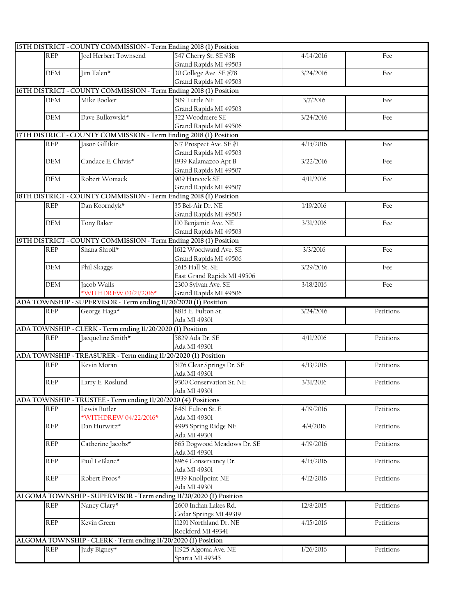|            | 15TH DISTRICT - COUNTY COMMISSION - Term Ending 2018 (1) Position  |                            |           |           |
|------------|--------------------------------------------------------------------|----------------------------|-----------|-----------|
| <b>REP</b> | Joel Herbert Townsend                                              | 547 Cherry St. SE #3B      | 4/14/2016 | Fee       |
|            |                                                                    | Grand Rapids MI 49503      |           |           |
| <b>DEM</b> | Jim Talen*                                                         | 30 College Ave. SE #78     | 3/24/2016 | Fee       |
|            |                                                                    | Grand Rapids MI 49503      |           |           |
|            | 16TH DISTRICT - COUNTY COMMISSION - Term Ending 2018 (1) Position  |                            |           |           |
| DEM        | Mike Booker                                                        | 509 Tuttle NE              | 3/7/2016  | Fee       |
|            |                                                                    | Grand Rapids MI 49503      |           |           |
| <b>DEM</b> | Dave Bulkowski*                                                    | 322 Woodmere SE            | 3/24/2016 | Fee       |
|            |                                                                    | Grand Rapids MI 49506      |           |           |
|            | 17TH DISTRICT - COUNTY COMMISSION - Term Ending 2018 (1) Position  |                            |           |           |
| <b>REP</b> | Jason Gillikin                                                     | 617 Prospect Ave. SE #1    | 4/15/2016 | Fee       |
|            |                                                                    | Grand Rapids MI 49503      |           |           |
| <b>DEM</b> | Candace E. Chivis*                                                 | 1939 Kalamazoo Apt B       | 3/22/2016 | Fee       |
|            |                                                                    | Grand Rapids MI 49507      |           |           |
| <b>DEM</b> | Robert Womack                                                      | 909 Hancock SE             | 4/11/2016 | Fee       |
|            |                                                                    | Grand Rapids MI 49507      |           |           |
|            | 18TH DISTRICT - COUNTY COMMISSION - Term Ending 2018 (1) Position  |                            |           |           |
| <b>REP</b> | Dan Koorndyk*                                                      | 35 Bel-Air Dr. NE          | 1/19/2016 | Fee       |
|            |                                                                    | Grand Rapids MI 49503      |           |           |
| <b>DEM</b> | Tony Baker                                                         | 110 Benjamin Ave. NE       | 3/31/2016 | Fee       |
|            |                                                                    | Grand Rapids MI 49503      |           |           |
|            | 19TH DISTRICT - COUNTY COMMISSION - Term Ending 2018 (1) Position  |                            |           |           |
|            |                                                                    |                            |           |           |
| <b>REP</b> | Shana Shroll*                                                      | 1612 Woodward Ave. SE      | 3/3/2016  | Fee       |
|            |                                                                    | Grand Rapids MI 49506      |           |           |
| DEM        | Phil Skaggs                                                        | 2615 Hall St. SE           | 3/29/2016 | Fee       |
|            |                                                                    | East Grand Rapids MI 49506 |           |           |
| <b>DEM</b> | Jacob Walls                                                        | 2300 Sylvan Ave. SE        | 3/18/2016 | Fee       |
|            | *WITHDREW 03/21/2016*                                              | Grand Rapids MI 49506      |           |           |
|            | ADA TOWNSHIP - SUPERVISOR - Term ending 11/20/2020 (1) Position    |                            |           |           |
| <b>REP</b> | George Haga*                                                       | 8815 E. Fulton St.         | 3/24/2016 | Petitions |
|            |                                                                    | Ada MI 49301               |           |           |
|            | ADA TOWNSHIP - CLERK - Term ending 11/20/2020 (1) Position         |                            |           |           |
| REP        | Jacqueline Smith*                                                  | 5829 Ada Dr. SE            | 4/11/2016 | Petitions |
|            |                                                                    | Ada MI 49301               |           |           |
|            | ADA TOWNSHIP - TREASURER - Term ending 11/20/2020 (1) Position     |                            |           |           |
| <b>REP</b> | Kevin Moran                                                        | 5176 Clear Springs Dr. SE  | 4/13/2016 | Petitions |
|            |                                                                    | Ada MI 49301               |           |           |
| <b>REP</b> | Larry E. Roslund                                                   | 9300 Conservation St. NE   | 3/31/2016 | Petitions |
|            |                                                                    | Ada MI 49301               |           |           |
|            | ADA TOWNSHIP - TRUSTEE - Term ending 11/20/2020 (4) Positions      |                            |           |           |
| <b>REP</b> | Lewis Butler                                                       | 8461 Fulton St. E          | 4/19/2016 | Petitions |
|            | *WITHDREW 04/22/2016*                                              | Ada MI 49301               |           |           |
| <b>REP</b> | Dan Hurwitz*                                                       | 4995 Spring Ridge NE       | 4/4/2016  | Petitions |
|            |                                                                    | Ada MI 49301               |           |           |
| <b>REP</b> | Catherine Jacobs*                                                  | 865 Dogwood Meadows Dr. SE | 4/19/2016 | Petitions |
|            |                                                                    | Ada MI 49301               |           |           |
| <b>REP</b> | Paul LeBlanc*                                                      | 8964 Conservancy Dr.       | 4/15/2016 | Petitions |
|            |                                                                    | Ada MI 49301               |           |           |
| <b>REP</b> | Robert Proos*                                                      | 1939 Knollpoint NE         | 4/12/2016 | Petitions |
|            |                                                                    | Ada MI 49301               |           |           |
|            | ALGOMA TOWNSHIP - SUPERVISOR - Term ending 11/20/2020 (1) Position |                            |           |           |
| <b>REP</b> | Nancy Clary*                                                       | 2600 Indian Lakes Rd.      | 12/8/2015 | Petitions |
|            |                                                                    | Cedar Springs MI 49319     |           |           |
| <b>REP</b> | Kevin Green                                                        | 11291 Northland Dr. NE     | 4/15/2016 | Petitions |
|            |                                                                    | Rockford MI 49341          |           |           |
|            | ALGOMA TOWNSHIP - CLERK - Term ending 11/20/2020 (1) Position      |                            |           |           |
| <b>REP</b> | Judy Bigney*                                                       | 11925 Algoma Ave. NE       | 1/26/2016 | Petitions |
|            |                                                                    | Sparta MI 49345            |           |           |
|            |                                                                    |                            |           |           |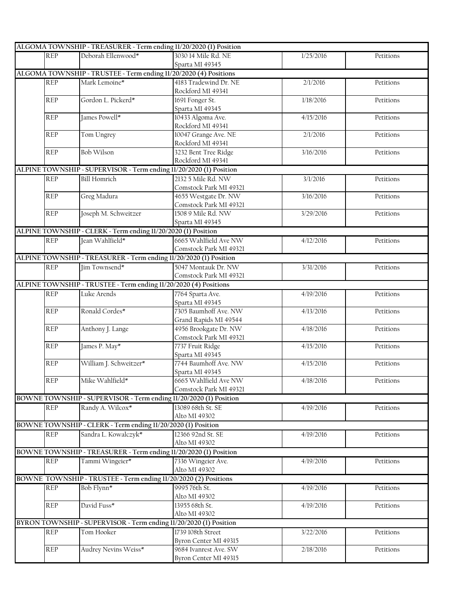|            | ALGOMA TOWNSHIP - TREASURER - Term ending 11/20/2020 (1) Position  |                                                |           |           |
|------------|--------------------------------------------------------------------|------------------------------------------------|-----------|-----------|
| <b>REP</b> | Deborah Ellenwood*                                                 | 3030 14 Mile Rd. NE                            | 1/25/2016 | Petitions |
|            |                                                                    | Sparta MI 49345                                |           |           |
|            | ALGOMA TOWNSHIP - TRUSTEE - Term ending 11/20/2020 (4) Positions   |                                                |           |           |
| <b>REP</b> | Mark Lemoine*                                                      | 4183 Tradewind Dr. NE                          | 2/1/2016  | Petitions |
|            |                                                                    | Rockford MI 49341                              |           |           |
| <b>REP</b> | Gordon L. Pickerd*                                                 | 1691 Fonger St.                                | 1/18/2016 | Petitions |
|            |                                                                    | Sparta MI 49345                                |           |           |
| <b>REP</b> | James Powell*                                                      | 10433 Algoma Ave.                              | 4/15/2016 | Petitions |
|            |                                                                    | Rockford MI 49341                              |           |           |
| <b>REP</b> | Tom Ungrey                                                         | 10047 Grange Ave. NE                           | 2/1/2016  | Petitions |
|            |                                                                    | Rockford MI 49341                              |           |           |
| <b>REP</b> | <b>Bob Wilson</b>                                                  | 3232 Bent Tree Ridge                           | 3/16/2016 | Petitions |
|            |                                                                    | Rockford MI 49341                              |           |           |
|            | ALPINE TOWNSHIP - SUPERVISOR - Term ending 11/20/2020 (1) Position |                                                |           |           |
| <b>REP</b> | <b>Bill Homrich</b>                                                | 2132 5 Mile Rd. NW                             | 3/1/2016  | Petitions |
|            |                                                                    |                                                |           |           |
|            | Greg Madura                                                        | Comstock Park MI 49321<br>4655 Westgate Dr. NW | 3/16/2016 |           |
| <b>REP</b> |                                                                    |                                                |           | Petitions |
|            |                                                                    | Comstock Park MI 49321<br>1508 9 Mile Rd. NW   |           |           |
| <b>REP</b> | Joseph M. Schweitzer                                               |                                                | 3/29/2016 | Petitions |
|            |                                                                    | Sparta MI 49345                                |           |           |
|            | ALPINE TOWNSHIP - CLERK - Term ending 11/20/2020 (1) Position      |                                                |           |           |
| <b>REP</b> | Jean Wahlfield*                                                    | 6665 Wahlfield Ave NW                          | 4/12/2016 | Petitions |
|            |                                                                    | Comstock Park MI 49321                         |           |           |
|            | ALPINE TOWNSHIP - TREASURER - Term ending 11/20/2020 (1) Position  |                                                |           |           |
| REP        | Jim Townsend*                                                      | 5047 Montauk Dr. NW                            | 3/31/2016 | Petitions |
|            |                                                                    | Comstock Park MI 49321                         |           |           |
|            | ALPINE TOWNSHIP - TRUSTEE - Term ending 11/20/2020 (4) Positions   |                                                |           |           |
| <b>REP</b> | Luke Arends                                                        | 7764 Sparta Ave.                               | 4/19/2016 | Petitions |
|            |                                                                    | Sparta MI 49345                                |           |           |
| <b>REP</b> | Ronald Cordes*                                                     | 7305 Baumhoff Ave. NW                          | 4/13/2016 | Petitions |
|            |                                                                    | Grand Rapids MI 49544                          |           |           |
| <b>REP</b> | Anthony J. Lange                                                   | 4956 Brookgate Dr. NW                          | 4/18/2016 | Petitions |
|            |                                                                    | Comstock Park MI 49321                         |           |           |
| <b>REP</b> | James P. May*                                                      | 7737 Fruit Ridge                               | 4/15/2016 | Petitions |
|            |                                                                    | Sparta MI 49345                                |           |           |
| <b>REP</b> | William J. Schweitzer*                                             | 7744 Baumhoff Ave. NW                          | 4/15/2016 | Petitions |
|            |                                                                    | Sparta MI 49345                                |           |           |
| <b>REP</b> | Mike Wahlfield*                                                    | 6665 Wahlfield Ave NW                          | 4/18/2016 | Petitions |
|            |                                                                    | Comstock Park MI 49321                         |           |           |
|            | BOWNE TOWNSHIP - SUPERVISOR - Term ending 11/20/2020 (1) Position  |                                                |           |           |
| <b>REP</b> | Randy A. Wilcox*                                                   | 13089 68th St. SE                              | 4/19/2016 | Petitions |
|            |                                                                    | Alto MI 49302                                  |           |           |
|            | BOWNE TOWNSHIP - CLERK - Term ending 11/20/2020 (1) Position       |                                                |           |           |
| <b>REP</b> | Sandra L. Kowalczyk*                                               | 12366 92nd St. SE                              | 4/19/2016 | Petitions |
|            |                                                                    | Alto MI 49302                                  |           |           |
|            |                                                                    |                                                |           |           |
|            | BOWNE TOWNSHIP - TREASURER - Term ending 11/20/2020 (1) Position   |                                                |           |           |
| <b>REP</b> | Tammi Wingeier*                                                    | 7336 Wingeier Ave.                             | 4/19/2016 | Petitions |
|            |                                                                    | Alto MI 49302                                  |           |           |
|            | BOWNE TOWNSHIP - TRUSTEE - Term ending 11/20/2020 (2) Positions    |                                                |           |           |
| <b>REP</b> | Bob Flynn*                                                         | 9995 76th St.                                  | 4/19/2016 | Petitions |
|            |                                                                    | Alto MI 49302                                  |           |           |
| REP        | David Fuss*                                                        | 13955 68th St.                                 | 4/19/2016 | Petitions |
|            |                                                                    | Alto MI 49302                                  |           |           |
|            | BYRON TOWNSHIP - SUPERVISOR - Term ending 11/20/2020 (1) Position  |                                                |           |           |
| <b>REP</b> | Tom Hooker                                                         | 1739 108th Street                              | 3/22/2016 | Petitions |
|            |                                                                    | Byron Center MI 49315                          |           |           |
| <b>REP</b> | Audrey Nevins Weiss*                                               | 9684 Ivanrest Ave. SW                          | 2/18/2016 | Petitions |
|            |                                                                    | Byron Center MI 49315                          |           |           |
|            |                                                                    |                                                |           |           |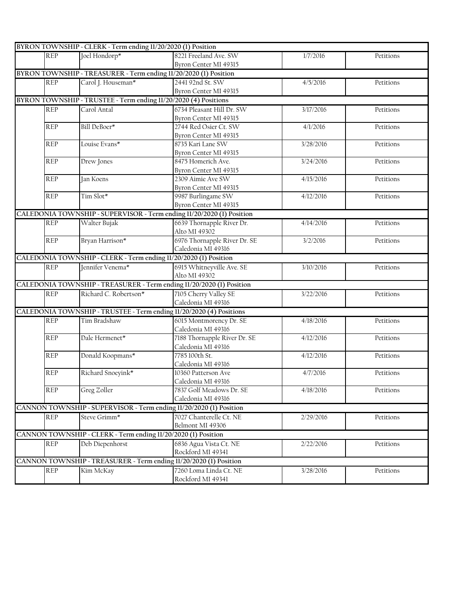|                                                                                              | BYRON TOWNSHIP - CLERK - Term ending 11/20/2020 (1) Position     |                                                                       |           |           |
|----------------------------------------------------------------------------------------------|------------------------------------------------------------------|-----------------------------------------------------------------------|-----------|-----------|
| <b>REP</b>                                                                                   | Joel Hondorp*                                                    | 8221 Freeland Ave. SW                                                 | 1/7/2016  | Petitions |
|                                                                                              |                                                                  | Byron Center MI 49315                                                 |           |           |
|                                                                                              | BYRON TOWNSHIP - TREASURER - Term ending 11/20/2020 (1) Position |                                                                       |           |           |
| <b>REP</b>                                                                                   | Carol J. Houseman*                                               | 2441 92nd St. SW                                                      | 4/5/2016  | Petitions |
|                                                                                              |                                                                  | Byron Center MI 49315                                                 |           |           |
|                                                                                              | BYRON TOWNSHIP - TRUSTEE - Term ending 11/20/2020 (4) Positions  |                                                                       |           |           |
| <b>REP</b>                                                                                   | Carol Antal                                                      | 6734 Pleasant Hill Dr. SW                                             | 3/17/2016 | Petitions |
|                                                                                              |                                                                  | Byron Center MI 49315                                                 |           |           |
| REP                                                                                          | Bill DeBoer*                                                     | 2744 Red Osier Ct. SW                                                 | 4/1/2016  | Petitions |
|                                                                                              |                                                                  | Byron Center MI 49315                                                 |           |           |
| <b>REP</b>                                                                                   | Louise Evans*                                                    | 8735 Kari Lane SW                                                     | 3/28/2016 | Petitions |
|                                                                                              |                                                                  | Byron Center MI 49315                                                 |           |           |
| <b>REP</b>                                                                                   | Drew Jones                                                       | 8475 Homerich Ave.                                                    | 3/24/2016 | Petitions |
|                                                                                              |                                                                  | Byron Center MI 49315                                                 |           |           |
| REP                                                                                          | Jan Koens                                                        | 2309 Aimie Ave SW                                                     | 4/15/2016 | Petitions |
|                                                                                              |                                                                  | Byron Center MI 49315                                                 |           |           |
| <b>REP</b>                                                                                   | Tim Slot*                                                        | 9987 Burlingame SW                                                    | 4/12/2016 | Petitions |
|                                                                                              |                                                                  | Byron Center MI 49315                                                 |           |           |
|                                                                                              |                                                                  | CALEDONIA TOWNSHIP - SUPERVISOR - Term ending 11/20/2020 (1) Position |           |           |
| <b>REP</b>                                                                                   | Walter Bujak                                                     | 6639 Thornapple River Dr.                                             | 4/14/2016 | Petitions |
|                                                                                              |                                                                  | Alto MI 49302                                                         |           |           |
| <b>REP</b>                                                                                   | Bryan Harrison*                                                  | 6976 Thornapple River Dr. SE                                          | 3/2/2016  | Petitions |
|                                                                                              |                                                                  | Caledonia MI 49316                                                    |           |           |
|                                                                                              | CALEDONIA TOWNSHIP - CLERK - Term ending 11/20/2020 (1) Position |                                                                       |           |           |
| <b>REP</b>                                                                                   | Jennifer Venema*                                                 | 6915 Whitneyville Ave. SE                                             | 3/10/2016 | Petitions |
|                                                                                              |                                                                  | Alto MI 49302                                                         |           |           |
|                                                                                              |                                                                  | CALEDONIA TOWNSHIP - TREASURER - Term ending 11/20/2020 (1) Position  |           |           |
| <b>REP</b>                                                                                   | Richard C. Robertson*                                            | 7105 Cherry Valley SE                                                 | 3/22/2016 | Petitions |
|                                                                                              |                                                                  | Caledonia MI 49316                                                    |           |           |
|                                                                                              |                                                                  | CALEDONIA TOWNSHIP - TRUSTEE - Term ending 11/20/2020 (4) Positions   |           |           |
| <b>REP</b>                                                                                   | Tim Bradshaw                                                     | 6015 Montmorency Dr. SE                                               | 4/18/2016 | Petitions |
|                                                                                              |                                                                  | Caledonia MI 49316                                                    |           |           |
| <b>REP</b>                                                                                   | Dale Hermenet*                                                   | 7188 Thornapple River Dr. SE                                          | 4/12/2016 | Petitions |
|                                                                                              |                                                                  | Caledonia MI 49316                                                    |           |           |
| REP                                                                                          | Donald Koopmans*                                                 | 7785 100th St.                                                        | 4/12/2016 | Petitions |
|                                                                                              |                                                                  | Caledonia MI 49316                                                    |           |           |
| <b>REP</b>                                                                                   | Richard Snoeyink*                                                | 10360 Patterson Ave                                                   | 4/7/2016  | Petitions |
|                                                                                              |                                                                  | Caledonia MI 49316                                                    |           |           |
| $\ensuremath{\mathsf{R}}\xspace\ensuremath{\mathsf{E}}\xspace\ensuremath{\mathsf{P}}\xspace$ | Greg Zoller                                                      | 7837 Golf Meadows Dr. SE                                              | 4/18/2016 | Petitions |
|                                                                                              |                                                                  | Caledonia MI 49316                                                    |           |           |
|                                                                                              |                                                                  | CANNON TOWNSHIP - SUPERVISOR - Term ending 11/20/2020 (1) Position    |           |           |
| <b>REP</b>                                                                                   | Steve Grimm*                                                     | 7027 Chanterelle Ct. NE                                               | 2/29/2016 | Petitions |
|                                                                                              |                                                                  | Belmont MI 49306                                                      |           |           |
|                                                                                              | CANNON TOWNSHIP - CLERK - Term ending 11/20/2020 (1) Position    |                                                                       |           |           |
| <b>REP</b>                                                                                   | Deb Diepenhorst                                                  | 6836 Agua Vista Ct. NE                                                | 2/22/2016 | Petitions |
|                                                                                              |                                                                  | Rockford MI 49341                                                     |           |           |
|                                                                                              |                                                                  | CANNON TOWNSHIP - TREASURER - Term ending 11/20/2020 (1) Position     |           |           |
| <b>REP</b>                                                                                   | Kim McKay                                                        | 7260 Loma Linda Ct. NE                                                | 3/28/2016 | Petitions |
|                                                                                              |                                                                  | Rockford MI 49341                                                     |           |           |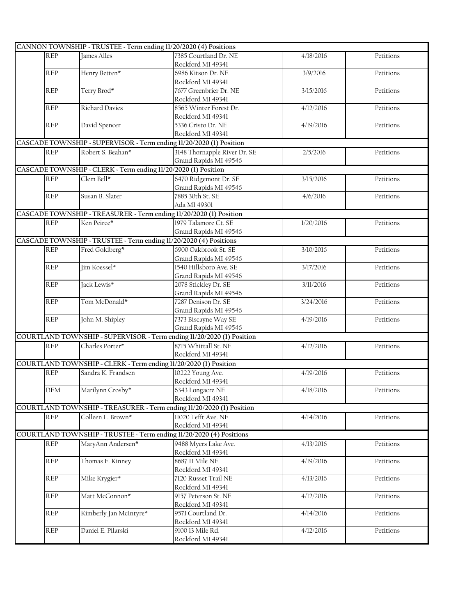|                  | CANNON TOWNSHIP - TRUSTEE - Term ending 11/20/2020 (4) Positions   |                                                                       |           |           |
|------------------|--------------------------------------------------------------------|-----------------------------------------------------------------------|-----------|-----------|
| <b>REP</b>       | James Alles                                                        | 7385 Courtland Dr. NE                                                 | 4/18/2016 | Petitions |
|                  |                                                                    | Rockford MI 49341                                                     |           |           |
| <b>REP</b>       | Henry Betten*                                                      | 6986 Kitson Dr. NE                                                    | 3/9/2016  | Petitions |
|                  |                                                                    | Rockford MI 49341                                                     |           |           |
| <b>REP</b>       | Terry Brod*                                                        | 7677 Greenbrier Dr. NE                                                | 3/15/2016 | Petitions |
|                  |                                                                    | Rockford MI 49341                                                     |           |           |
| <b>REP</b>       | Richard Davies                                                     | 8565 Winter Forest Dr.                                                | 4/12/2016 | Petitions |
|                  |                                                                    | Rockford MI 49341                                                     |           |           |
| <b>REP</b>       | David Spencer                                                      | 5336 Cristo Dr. NE                                                    | 4/19/2016 | Petitions |
|                  |                                                                    | Rockford MI 49341                                                     |           |           |
|                  |                                                                    | CASCADE TOWNSHIP - SUPERVISOR - Term ending 11/20/2020 (1) Position   |           |           |
| <b>REP</b>       | Robert S. Beahan*                                                  | 3148 Thornapple River Dr. SE                                          | 2/5/2016  | Petitions |
|                  |                                                                    | Grand Rapids MI 49546                                                 |           |           |
|                  | CASCADE TOWNSHIP - CLERK - Term ending 11/20/2020 (1) Position     |                                                                       |           |           |
| <b>REP</b>       | Clem Bell*                                                         | 6470 Ridgemont Dr. SE                                                 | 3/15/2016 | Petitions |
|                  |                                                                    | Grand Rapids MI 49546                                                 |           |           |
| <b>REP</b>       | Susan B. Slater                                                    | 7885 30th St. SE                                                      | 4/6/2016  | Petitions |
|                  |                                                                    | Ada MI 49301                                                          |           |           |
|                  | CASCADE TOWNSHIP - TREASURER - Term ending 11/20/2020 (1) Position |                                                                       |           |           |
| <b>REP</b>       | Ken Peirce*                                                        | 1979 Talamore Ct. SE                                                  | 1/20/2016 | Petitions |
|                  |                                                                    | Grand Rapids MI 49546                                                 |           |           |
|                  | CASCADE TOWNSHIP - TRUSTEE - Term ending 11/20/2020 (4) Positions  |                                                                       |           |           |
| <b>REP</b>       | Fred Goldberg*                                                     | 6900 Oakbrook St. SE                                                  | 3/10/2016 | Petitions |
|                  |                                                                    | Grand Rapids MI 49546                                                 |           |           |
| <b>REP</b>       | Jim Koessel*                                                       | 1540 Hillsboro Ave. SE                                                | 3/17/2016 | Petitions |
|                  |                                                                    | Grand Rapids MI 49546                                                 |           |           |
| <b>REP</b>       | Jack Lewis*                                                        | 2078 Stickley Dr. SE                                                  | 3/11/2016 | Petitions |
|                  |                                                                    | Grand Rapids MI 49546                                                 |           |           |
| <b>REP</b>       | Tom McDonald*                                                      | 7287 Denison Dr. SE                                                   | 3/24/2016 | Petitions |
|                  |                                                                    | Grand Rapids MI 49546                                                 |           |           |
| <b>REP</b>       | John M. Shipley                                                    | 7373 Biscayne Way SE                                                  | 4/19/2016 | Petitions |
|                  |                                                                    | Grand Rapids MI 49546                                                 |           |           |
|                  |                                                                    | COURTLAND TOWNSHIP - SUPERVISOR - Term ending 11/20/2020 (1) Position |           |           |
| $\overline{REP}$ | Charles Porter*                                                    | 8715 Whittall St. NE                                                  | 4/12/2016 | Petitions |
|                  |                                                                    | Rockford MI 49341                                                     |           |           |
|                  | COURTLAND TOWNSHIP - CLERK - Term ending 11/20/2020 (1) Position   |                                                                       |           |           |
| <b>REP</b>       | Sandra K. Frandsen                                                 | 10222 Young Ave.                                                      | 4/19/2016 | Petitions |
|                  |                                                                    | Rockford MI 49341                                                     |           |           |
| DEM              | Marilynn Crosby*                                                   | 6343 Longacre NE                                                      | 4/18/2016 | Petitions |
|                  |                                                                    | Rockford MI 49341                                                     |           |           |
|                  |                                                                    | COURTLAND TOWNSHIP - TREASURER - Term ending 11/20/2020 (1) Position  |           |           |
| REP              | Colleen L. Brown*                                                  | 11020 Tefft Ave. NE                                                   | 4/14/2016 | Petitions |
|                  |                                                                    | Rockford MI 49341                                                     |           |           |
|                  |                                                                    | COURTLAND TOWNSHIP - TRUSTEE - Term ending 11/20/2020 (4) Positions   |           |           |
| <b>REP</b>       | MaryAnn Andersen*                                                  | 9488 Myers Lake Ave.                                                  | 4/13/2016 | Petitions |
|                  |                                                                    | Rockford MI 49341                                                     |           |           |
| <b>REP</b>       | Thomas F. Kinney                                                   | 8687 11 Mile NE                                                       | 4/19/2016 | Petitions |
|                  |                                                                    | Rockford MI 49341                                                     |           |           |
| <b>REP</b>       | Mike Krygier*                                                      | 7120 Russet Trail NE                                                  | 4/13/2016 | Petitions |
|                  |                                                                    | Rockford MI 49341                                                     |           |           |
| <b>REP</b>       | Matt McConnon*                                                     | 9157 Peterson St. NE                                                  | 4/12/2016 | Petitions |
|                  |                                                                    | Rockford MI 49341                                                     |           |           |
| <b>REP</b>       | Kimberly Jan McIntyre*                                             | 9571 Courtland Dr.                                                    | 4/14/2016 | Petitions |
|                  |                                                                    | Rockford MI 49341                                                     |           |           |
| <b>REP</b>       | Daniel E. Pilarski                                                 | 9100 13 Mile Rd.                                                      | 4/12/2016 | Petitions |
|                  |                                                                    | Rockford MI 49341                                                     |           |           |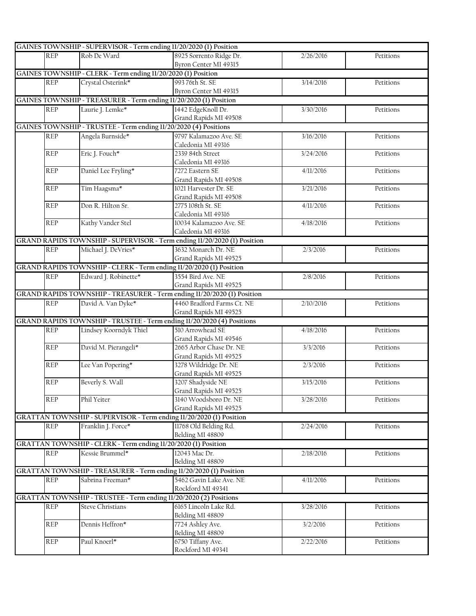|            | GAINES TOWNSHIP - SUPERVISOR - Term ending 11/20/2020 (1) Position  |                                                                          |           |           |
|------------|---------------------------------------------------------------------|--------------------------------------------------------------------------|-----------|-----------|
| <b>REP</b> | Rob De Ward                                                         | 8925 Sorrento Ridge Dr.                                                  | 2/26/2016 | Petitions |
|            |                                                                     | Byron Center MI 49315                                                    |           |           |
|            | GAINES TOWNSHIP - CLERK - Term ending 11/20/2020 (1) Position       |                                                                          |           |           |
| <b>REP</b> | Crystal Osterink*                                                   | 993 76th St. SE                                                          | 3/14/2016 | Petitions |
|            |                                                                     | Byron Center MI 49315                                                    |           |           |
|            | GAINES TOWNSHIP - TREASURER - Term ending 11/20/2020 (1) Position   |                                                                          |           |           |
| <b>REP</b> | Laurie J. Lemke*                                                    | 1442 EdgeKnoll Dr.                                                       | 3/30/2016 | Petitions |
|            |                                                                     | Grand Rapids MI 49508                                                    |           |           |
|            | GAINES TOWNSHIP - TRUSTEE - Term ending 11/20/2020 (4) Positions    |                                                                          |           |           |
| <b>REP</b> | Angela Burnside*                                                    | 9797 Kalamazoo Ave. SE                                                   | 3/16/2016 | Petitions |
|            |                                                                     | Caledonia MI 49316                                                       |           |           |
| <b>REP</b> | Eric J. Fouch*                                                      | 2339 84th Street                                                         | 3/24/2016 | Petitions |
|            |                                                                     | Caledonia MI 49316                                                       |           |           |
| <b>REP</b> | Daniel Lee Fryling*                                                 | 7272 Eastern SE                                                          | 4/11/2016 | Petitions |
|            |                                                                     | Grand Rapids MI 49508                                                    |           |           |
| <b>REP</b> | Tim Haagsma*                                                        | 1021 Harvester Dr. SE                                                    | 3/21/2016 | Petitions |
|            |                                                                     | Grand Rapids MI 49508                                                    |           |           |
| <b>REP</b> | Don R. Hilton Sr.                                                   | 2775 108th St. SE                                                        | 4/11/2016 | Petitions |
|            |                                                                     | Caledonia MI 49316                                                       |           |           |
| <b>REP</b> | Kathy Vander Stel                                                   | 10034 Kalamazoo Ave. SE                                                  | 4/18/2016 | Petitions |
|            |                                                                     | Caledonia MI 49316                                                       |           |           |
|            |                                                                     | GRAND RAPIDS TOWNSHIP - SUPERVISOR - Term ending 11/20/2020 (1) Position |           |           |
| REP        | Michael J. DeVries*                                                 | 3632 Monarch Dr. NE                                                      | 2/3/2016  | Petitions |
|            |                                                                     | Grand Rapids MI 49525                                                    |           |           |
|            | GRAND RAPIDS TOWNSHIP - CLERK - Term ending 11/20/2020 (1) Position |                                                                          |           |           |
| REP        | Edward J. Robinette*                                                | 3554 Bird Ave. NE                                                        | 2/8/2016  | Petitions |
|            |                                                                     | Grand Rapids MI 49525                                                    |           |           |
|            |                                                                     | GRAND RAPIDS TOWNSHIP - TREASURER - Term ending 11/20/2020 (1) Position  |           |           |
| <b>REP</b> | David A. Van Dyke*                                                  | 4460 Bradford Farms Ct. NE                                               | 2/10/2016 | Petitions |
|            |                                                                     | Grand Rapids MI 49525                                                    |           |           |
|            |                                                                     | GRAND RAPIDS TOWNSHIP - TRUSTEE - Term ending 11/20/2020 (4) Positions   |           |           |
| REP        | Lindsey Koorndyk Thiel                                              | 510 Arrowhead SE                                                         | 4/18/2016 | Petitions |
|            |                                                                     | Grand Rapids MI 49546                                                    |           |           |
| <b>REP</b> | David M. Pierangeli*                                                | 2665 Arbor Chase Dr. NE                                                  | 3/3/2016  | Petitions |
|            |                                                                     | Grand Rapids MI 49525                                                    |           |           |
| <b>REP</b> | Lee Van Popering*                                                   | 3278 Wildridge Dr. NE                                                    | 2/3/2016  | Petitions |
|            |                                                                     | Grand Rapids MI 49525                                                    |           |           |
| <b>REP</b> | Beverly S. Wall                                                     | 3207 Shadyside NE                                                        | 3/15/2016 | Petitions |
|            |                                                                     | Grand Rapids MI 49525                                                    |           |           |
| <b>REP</b> | Phil Yeiter                                                         | 3140 Woodsboro Dr. NE                                                    | 3/28/2016 | Petitions |
|            |                                                                     | Grand Rapids MI 49525                                                    |           |           |
|            |                                                                     | GRATTAN TOWNSHIP - SUPERVISOR - Term ending 11/20/2020 (1) Position      |           |           |
| <b>REP</b> | Franklin J. Force*                                                  | 11768 Old Belding Rd.                                                    | 2/24/2016 | Petitions |
|            |                                                                     | Belding MI 48809                                                         |           |           |
|            | GRATTAN TOWNSHIP - CLERK - Term ending 11/20/2020 (1) Position      |                                                                          |           |           |
| REP        | Kessie Brummel*                                                     | 12043 Mac Dr.                                                            | 2/18/2016 | Petitions |
|            |                                                                     | Belding MI 48809                                                         |           |           |
|            |                                                                     | GRATTAN TOWNSHIP - TREASURER - Term ending 11/20/2020 (1) Position       |           |           |
| <b>REP</b> | Sabrina Freeman*                                                    | 5462 Gavin Lake Ave. NE                                                  | 4/11/2016 | Petitions |
|            |                                                                     | Rockford MI 49341                                                        |           |           |
|            | GRATTAN TOWNSHIP - TRUSTEE - Term ending 11/20/2020 (2) Positions   |                                                                          |           |           |
|            |                                                                     |                                                                          |           |           |
| <b>REP</b> | <b>Steve Christians</b>                                             | 6165 Lincoln Lake Rd.                                                    | 3/28/2016 | Petitions |
| REP        | Dennis Heffron*                                                     | Belding MI 48809<br>7724 Ashley Ave.                                     | 3/2/2016  |           |
|            |                                                                     | Belding MI 48809                                                         |           | Petitions |
| REP        | Paul Knoerl*                                                        | 6750 Tiffany Ave.                                                        | 2/22/2016 | Petitions |
|            |                                                                     | Rockford MI 49341                                                        |           |           |
|            |                                                                     |                                                                          |           |           |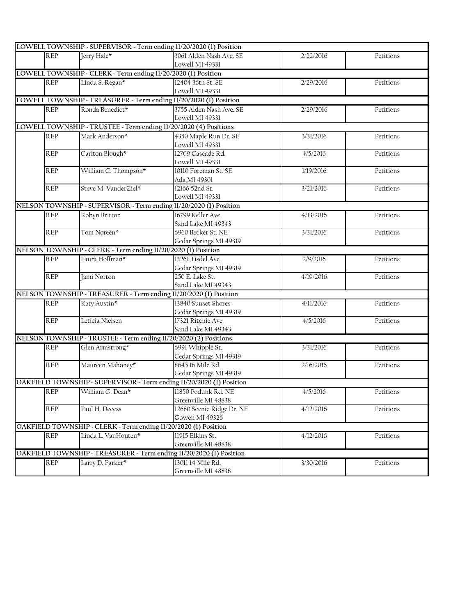|            | LOWELL TOWNSHIP - SUPERVISOR - Term ending 11/20/2020 (1) Position   |                           |           |           |
|------------|----------------------------------------------------------------------|---------------------------|-----------|-----------|
| <b>REP</b> | Jerry Hale*                                                          | 3061 Alden Nash Ave. SE   | 2/22/2016 | Petitions |
|            |                                                                      | Lowell MI 49331           |           |           |
|            | LOWELL TOWNSHIP - CLERK - Term ending 11/20/2020 (1) Position        |                           |           |           |
| <b>REP</b> | Linda S. Regan*                                                      | 12404 36th St. SE         | 2/29/2016 | Petitions |
|            |                                                                      | Lowell MI 49331           |           |           |
|            | LOWELL TOWNSHIP - TREASURER - Term ending 11/20/2020 (1) Position    |                           |           |           |
| <b>REP</b> | Ronda Benedict*                                                      | 3755 Alden Nash Ave. SE   | 2/29/2016 | Petitions |
|            |                                                                      | Lowell MI 49331           |           |           |
|            | LOWELL TOWNSHIP - TRUSTEE - Term ending 11/20/2020 (4) Positions     |                           |           |           |
| <b>REP</b> | Mark Anderson*                                                       | 4350 Maple Run Dr. SE     | 3/31/2016 | Petitions |
|            |                                                                      | Lowell MI 49331           |           |           |
| <b>REP</b> | Carlton Blough*                                                      | 12709 Cascade Rd.         | 4/5/2016  | Petitions |
|            |                                                                      | Lowell MI 49331           |           |           |
| <b>REP</b> | William C. Thompson*                                                 | 10110 Foreman St. SE      | 1/19/2016 | Petitions |
|            |                                                                      | Ada MI 49301              |           |           |
| <b>REP</b> | Steve M. VanderZiel*                                                 | 12166 52nd St.            | 3/21/2016 | Petitions |
|            |                                                                      | Lowell MI 49331           |           |           |
|            | NELSON TOWNSHIP - SUPERVISOR - Term ending 11/20/2020 (1) Position   |                           |           |           |
| <b>REP</b> | Robyn Britton                                                        | 16799 Keller Ave.         | 4/13/2016 | Petitions |
|            |                                                                      | Sand Lake MI 49343        |           |           |
| <b>REP</b> | Tom Noreen*                                                          | 6960 Becker St. NE        | 3/31/2016 | Petitions |
|            |                                                                      | Cedar Springs MI 49319    |           |           |
|            | NELSON TOWNSHIP - CLERK - Term ending 11/20/2020 (1) Position        |                           |           |           |
| <b>REP</b> | Laura Hoffman*                                                       | 13261 Tisdel Ave.         | 2/9/2016  | Petitions |
|            |                                                                      | Cedar Springs MI 49319    |           |           |
| <b>REP</b> | Jami Norton                                                          | 250 E. Lake St.           | 4/19/2016 | Petitions |
|            |                                                                      | Sand Lake MI 49343        |           |           |
|            | NELSON TOWNSHIP - TREASURER - Term ending 11/20/2020 (1) Position    |                           |           |           |
| <b>REP</b> | Katy Austin*                                                         | 13840 Sunset Shores       | 4/11/2016 | Petitions |
|            |                                                                      | Cedar Springs MI 49319    |           |           |
| <b>REP</b> | Leticia Nielsen                                                      | 17321 Ritchie Ave.        | 4/5/2016  | Petitions |
|            |                                                                      | Sand Lake MI 49343        |           |           |
|            | NELSON TOWNSHIP - TRUSTEE - Term ending 11/20/2020 (2) Positions     |                           |           |           |
| <b>REP</b> | Glen Armstrong*                                                      | 6991 Whipple St.          | 3/31/2016 | Petitions |
|            |                                                                      | Cedar Springs MI 49319    |           |           |
| <b>REP</b> | Maureen Mahoney*                                                     | 8645 16 Mile Rd           | 2/16/2016 | Petitions |
|            |                                                                      | Cedar Springs MI 49319    |           |           |
|            | OAKFIELD TOWNSHIP - SUPERVISOR - Term ending 11/20/2020 (1) Position |                           |           |           |
| <b>REP</b> | William G. Dean*                                                     | 11850 Podunk Rd. NE       | 4/5/2016  | Petitions |
|            |                                                                      | Greenville MI 48838       |           |           |
| <b>REP</b> | Paul H. Decess                                                       | 12680 Scenic Ridge Dr. NE | 4/12/2016 | Petitions |
|            |                                                                      | Gowen MI 49326            |           |           |
|            | OAKFIELD TOWNSHIP - CLERK - Term ending 11/20/2020 (1) Position      |                           |           |           |
| REP        | Linda L. VanHouten*                                                  | 11915 Elkins St.          | 4/12/2016 | Petitions |
|            |                                                                      | Greenville MI 48838       |           |           |
|            | OAKFIELD TOWNSHIP - TREASURER - Term ending 11/20/2020 (1) Position  |                           |           |           |
| REP        | Larry D. Parker*                                                     | 13011 14 Mile Rd.         | 3/30/2016 | Petitions |
|            |                                                                      | Greenville MI 48838       |           |           |
|            |                                                                      |                           |           |           |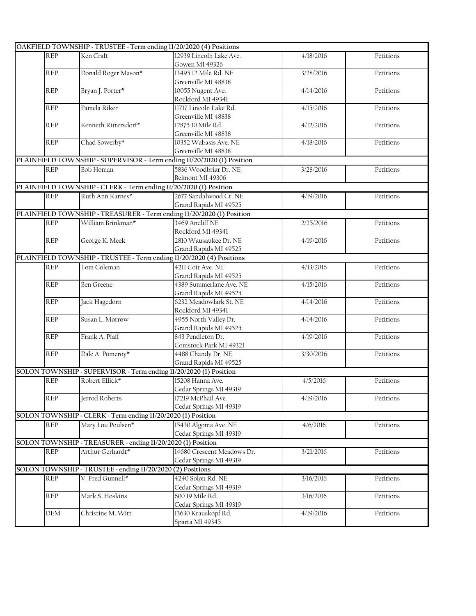|            | OAKFIELD TOWNSHIP - TRUSTEE - Term ending 11/20/2020 (4) Positions   |                                                                        |           |           |
|------------|----------------------------------------------------------------------|------------------------------------------------------------------------|-----------|-----------|
| <b>REP</b> | Ken Craft                                                            | 12939 Lincoln Lake Ave.                                                | 4/18/2016 | Petitions |
|            |                                                                      | Gowen MI 49326                                                         |           |           |
| <b>REP</b> | Donald Roger Mason*                                                  | 13495 12 Mile Rd. NE                                                   | 3/28/2016 | Petitions |
|            |                                                                      | Greenville MI 48838                                                    |           |           |
| <b>REP</b> | Bryan J. Porter*                                                     | 10055 Nugent Ave.                                                      | 4/14/2016 | Petitions |
|            |                                                                      | Rockford MI 49341                                                      |           |           |
| <b>REP</b> | Pamela Riker                                                         | 11717 Lincoln Lake Rd.                                                 | 4/15/2016 | Petitions |
|            |                                                                      | Greenville MI 48838                                                    |           |           |
| <b>REP</b> | Kenneth Rittersdorf*                                                 | 12875 10 Mile Rd.                                                      | 4/12/2016 | Petitions |
|            |                                                                      | Greenville MI 48838                                                    |           |           |
| <b>REP</b> | Chad Sowerby*                                                        | 10352 Wabasis Ave. NE                                                  | 4/18/2016 | Petitions |
|            |                                                                      | Greenville MI 48838                                                    |           |           |
|            |                                                                      | PLAINFIELD TOWNSHIP - SUPERVISOR - Term ending 11/20/2020 (1) Position |           |           |
| <b>REP</b> | Bob Homan                                                            | 5836 Woodbriar Dr. NE                                                  | 3/28/2016 | Petitions |
|            |                                                                      | Belmont MI 49306                                                       |           |           |
|            | PLAINFIELD TOWNSHIP - CLERK - Term ending 11/20/2020 (1) Position    |                                                                        |           |           |
| <b>REP</b> | Ruth Ann Karnes*                                                     | 2677 Sandalwood Ct. NE                                                 | 4/19/2016 | Petitions |
|            |                                                                      | Grand Rapids MI 49525                                                  |           |           |
|            |                                                                      | PLAINFIELD TOWNSHIP - TREASURER - Term ending 11/20/2020 (1) Position  |           |           |
| <b>REP</b> | William Brinkman*                                                    | 3469 Ancliff NE                                                        | 2/25/2016 | Petitions |
|            |                                                                      | Rockford MI 49341                                                      |           |           |
| <b>REP</b> | George K. Meek                                                       | 2810 Wausaukee Dr. NE                                                  | 4/19/2016 | Petitions |
|            |                                                                      | Grand Rapids MI 49525                                                  |           |           |
|            | PLAINFIELD TOWNSHIP - TRUSTEE - Term ending 11/20/2020 (4) Positions |                                                                        |           |           |
| <b>REP</b> | Tom Coleman                                                          | 4211 Coit Ave. NE                                                      | 4/13/2016 | Petitions |
|            |                                                                      | Grand Rapids MI 49525                                                  |           |           |
| <b>REP</b> | <b>Ben Greene</b>                                                    | 4389 Summerlane Ave. NE                                                | 4/15/2016 | Petitions |
|            |                                                                      | Grand Rapids MI 49525                                                  |           |           |
| <b>REP</b> | Jack Hagedorn                                                        | 6232 Meadowlark St. NE                                                 | 4/14/2016 | Petitions |
|            |                                                                      | Rockford MI 49341                                                      |           |           |
| <b>REP</b> | Susan L. Morrow                                                      | 4955 North Valley Dr.                                                  | 4/14/2016 | Petitions |
|            |                                                                      | Grand Rapids MI 49525                                                  |           |           |
| <b>REP</b> | Frank A. Pfaff                                                       | 843 Pendleton Dr.                                                      | 4/19/2016 | Petitions |
|            |                                                                      | Comstock Park MI 49321                                                 |           |           |
| <b>REP</b> | Dale A. Pomeroy*                                                     | 4488 Chandy Dr. NE                                                     | 3/30/2016 | Petitions |
|            |                                                                      | Grand Rapids MI 49525                                                  |           |           |
|            | SOLON TOWNSHIP - SUPERVISOR - Term ending 11/20/2020 (1) Position    |                                                                        |           |           |
| <b>REP</b> | Robert Ellick*                                                       | 15208 Hanna Ave.                                                       | 4/5/2016  | Petitions |
|            |                                                                      | Cedar Springs MI 49319                                                 |           |           |
| <b>REP</b> | Jerrod Roberts                                                       | 17219 McPhail Ave.                                                     | 4/19/2016 | Petitions |
|            |                                                                      | Cedar Springs MI 49319                                                 |           |           |
|            | SOLON TOWNSHIP - CLERK - Term ending 11/20/2020 (1) Position         |                                                                        |           |           |
| <b>REP</b> | Mary Lou Poulsen*                                                    | 15430 Algoma Ave. NE                                                   | 4/6/2016  | Petitions |
|            |                                                                      | Cedar Springs MI 49319                                                 |           |           |
|            | SOLON TOWNSHIP - TREASURER - ending 11/20/2020 (1) Position          |                                                                        |           |           |
| <b>REP</b> | Arthur Gerhardt*                                                     | 14680 Crescent Meadows Dr.                                             | 3/21/2016 | Petitions |
|            |                                                                      | Cedar Springs MI 49319                                                 |           |           |
|            | SOLON TOWNSHIP - TRUSTEE - ending 11/20/2020 (2) Positions           |                                                                        |           |           |
| <b>REP</b> | V. Fred Gunnell*                                                     | 4240 Solon Rd. NE                                                      | 3/16/2016 | Petitions |
|            |                                                                      | Cedar Springs MI 49319                                                 |           |           |
| REP        | Mark S. Hoskins                                                      | 600 19 Mile Rd.                                                        | 3/16/2016 | Petitions |
|            |                                                                      | Cedar Springs MI 49319                                                 |           |           |
| DEM        | Christine M. Witt                                                    | 13630 Krauskopf Rd.                                                    | 4/19/2016 | Petitions |
|            |                                                                      | Sparta MI 49345                                                        |           |           |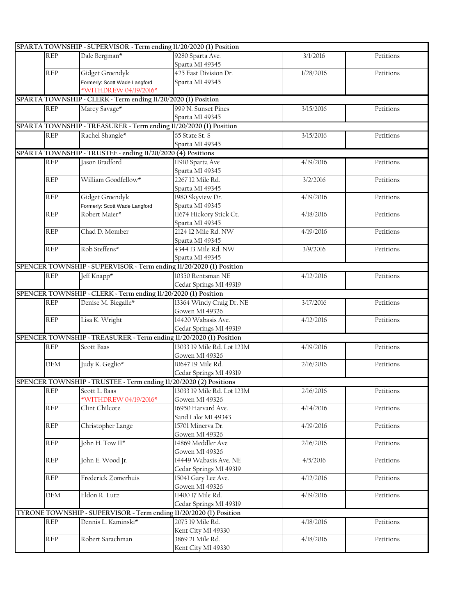|            | SPARTA TOWNSHIP - SUPERVISOR - Term ending 11/20/2020 (1) Position  |                            |           |           |
|------------|---------------------------------------------------------------------|----------------------------|-----------|-----------|
| <b>REP</b> | Dale Bergman*                                                       | 9280 Sparta Ave.           | 3/1/2016  | Petitions |
|            |                                                                     | Sparta MI 49345            |           |           |
| <b>REP</b> | Gidget Groendyk                                                     | 425 East Division Dr.      | 1/28/2016 | Petitions |
|            | Formerly: Scott Wade Langford                                       | Sparta MI 49345            |           |           |
|            | *WITHDREW 04/19/2016*                                               |                            |           |           |
|            | SPARTA TOWNSHIP - CLERK - Term ending 11/20/2020 (1) Position       |                            |           |           |
| <b>REP</b> | Marcy Savage*                                                       | 999 N. Sunset Pines        | 3/15/2016 | Petitions |
|            |                                                                     | Sparta MI 49345            |           |           |
|            | SPARTA TOWNSHIP - TREASURER - Term ending 11/20/2020 (1) Position   |                            |           |           |
| <b>REP</b> | Rachel Shangle*                                                     | 65 State St. S             | 3/15/2016 | Petitions |
|            |                                                                     | Sparta MI 49345            |           |           |
|            |                                                                     |                            |           |           |
|            | SPARTA TOWNSHIP - TRUSTEE - ending 11/20/2020 (4) Positions         |                            |           |           |
| <b>REP</b> | Jason Bradford                                                      | 11910 Sparta Ave           | 4/19/2016 | Petitions |
|            |                                                                     | Sparta MI 49345            |           |           |
| <b>REP</b> | William Goodfellow*                                                 | 2267 12 Mile Rd.           | 3/2/2016  | Petitions |
|            |                                                                     | Sparta MI 49345            |           |           |
| <b>REP</b> | Gidget Groendyk                                                     | 1980 Skyview Dr.           | 4/19/2016 | Petitions |
|            | Formerly: Scott Wade Langford                                       | Sparta MI 49345            |           |           |
| <b>REP</b> | Robert Maier*                                                       | 11674 Hickory Stick Ct.    | 4/18/2016 | Petitions |
|            |                                                                     | Sparta MI 49345            |           |           |
| <b>REP</b> | Chad D. Momber                                                      | 2124 12 Mile Rd. NW        | 4/19/2016 | Petitions |
|            |                                                                     | Sparta MI 49345            |           |           |
| <b>REP</b> | Rob Steffens*                                                       | 4344 13 Mile Rd. NW        | 3/9/2016  | Petitions |
|            |                                                                     | Sparta MI 49345            |           |           |
|            | SPENCER TOWNSHIP - SUPERVISOR - Term ending 11/20/2020 (1) Position |                            |           |           |
| <b>REP</b> | Jeff Knapp*                                                         | 10350 Rentsman NE          | 4/12/2016 | Petitions |
|            |                                                                     | Cedar Springs MI 49319     |           |           |
|            | SPENCER TOWNSHIP - CLERK - Term ending 11/20/2020 (1) Position      |                            |           |           |
| <b>REP</b> | Denise M. Biegalle*                                                 | 13364 Windy Craig Dr. NE   | 3/17/2016 | Petitions |
|            |                                                                     | Gowen MI 49326             |           |           |
| <b>REP</b> | Lisa K. Wright                                                      | 14420 Wabasis Ave.         | 4/12/2016 | Petitions |
|            |                                                                     |                            |           |           |
|            |                                                                     | Cedar Springs MI 49319     |           |           |
|            | SPENCER TOWNSHIP - TREASURER - Term ending 11/20/2020 (1) Position  |                            |           |           |
| <b>REP</b> | Scott Baas                                                          | 13033 19 Mile Rd. Lot 123M | 4/19/2016 | Petitions |
|            |                                                                     | Gowen MI 49326             |           |           |
| DEM        | Judy K. Geglio*                                                     | 10647 19 Mile Rd.          | 2/16/2016 | Petitions |
|            |                                                                     | Cedar Springs MI 49319     |           |           |
|            | SPENCER TOWNSHIP - TRUSTEE - Term ending 11/20/2020 (2) Positions   |                            |           |           |
| <b>REP</b> | Scott L. Baas                                                       | 13033 19 Mile Rd. Lot 123M | 2/16/2016 | Petitions |
|            | *WITHDREW 04/19/2016*                                               | Gowen MI 49326             |           |           |
| <b>REP</b> | Clint Chilcote                                                      | 16950 Harvard Ave.         | 4/14/2016 | Petitions |
|            |                                                                     | Sand Lake MI 49343         |           |           |
| <b>REP</b> | Christopher Lange                                                   | 15701 Minerva Dr.          | 4/19/2016 | Petitions |
|            |                                                                     | Gowen MI 49326             |           |           |
| <b>REP</b> | John H. Tow II*                                                     | 14869 Meddler Ave          | 2/16/2016 | Petitions |
|            |                                                                     | Gowen MI 49326             |           |           |
| <b>REP</b> | John E. Wood Jr.                                                    | 14449 Wabasis Ave. NE      | 4/5/2016  | Petitions |
|            |                                                                     | Cedar Springs MI 49319     |           |           |
| <b>REP</b> | Frederick Zomerhuis                                                 | 15041 Gary Lee Ave.        | 4/12/2016 | Petitions |
|            |                                                                     | Gowen MI 49326             |           |           |
| DEM        | Eldon R. Lutz                                                       | 11400 17 Mile Rd.          | 4/19/2016 | Petitions |
|            |                                                                     | Cedar Springs MI 49319     |           |           |
|            | TYRONE TOWNSHIP - SUPERVISOR - Term ending 11/20/2020 (1) Position  |                            |           |           |
| <b>REP</b> | Dennis L. Kaminski*                                                 | 2075 19 Mile Rd.           | 4/18/2016 | Petitions |
|            |                                                                     |                            |           |           |
|            |                                                                     | Kent City MI 49330         |           |           |
| <b>REP</b> | Robert Sarachman                                                    | 3869 21 Mile Rd.           | 4/18/2016 | Petitions |
|            |                                                                     | Kent City MI 49330         |           |           |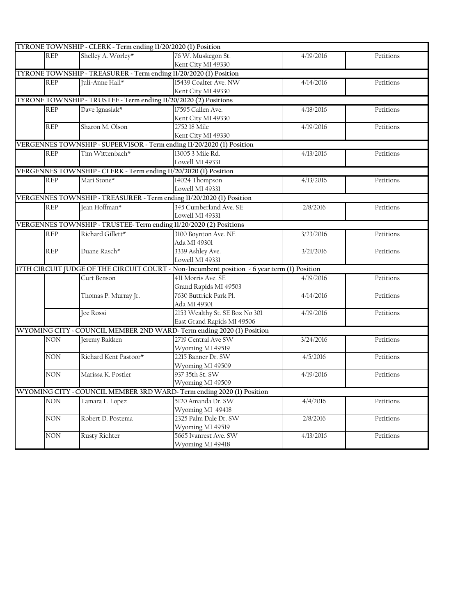| Shelley A. Worley*<br>76 W. Muskegon St.<br><b>REP</b><br>4/19/2016<br>Petitions<br>Kent City MI 49330<br>TYRONE TOWNSHIP - TREASURER - Term ending 11/20/2020 (1) Position<br>Juli-Anne Hall*<br>15439 Coalter Ave. NW<br><b>REP</b><br>4/14/2016<br>Petitions<br>Kent City MI 49330<br>TYRONE TOWNSHIP - TRUSTEE - Term ending 11/20/2020 (2) Positions<br>Dave Ignasiak*<br>17595 Callen Ave.<br><b>REP</b><br>4/18/2016<br>Petitions<br>Kent City MI 49330<br>Sharon M. Olson<br>2752 18 Mile<br><b>REP</b><br>4/19/2016<br>Petitions<br>Kent City MI 49330<br>VERGENNES TOWNSHIP - SUPERVISOR - Term ending 11/20/2020 (1) Position<br>13005 3 Mile Rd.<br><b>REP</b><br>Tim Wittenbach*<br>4/13/2016<br>Petitions |
|-------------------------------------------------------------------------------------------------------------------------------------------------------------------------------------------------------------------------------------------------------------------------------------------------------------------------------------------------------------------------------------------------------------------------------------------------------------------------------------------------------------------------------------------------------------------------------------------------------------------------------------------------------------------------------------------------------------------------|
|                                                                                                                                                                                                                                                                                                                                                                                                                                                                                                                                                                                                                                                                                                                         |
|                                                                                                                                                                                                                                                                                                                                                                                                                                                                                                                                                                                                                                                                                                                         |
|                                                                                                                                                                                                                                                                                                                                                                                                                                                                                                                                                                                                                                                                                                                         |
|                                                                                                                                                                                                                                                                                                                                                                                                                                                                                                                                                                                                                                                                                                                         |
|                                                                                                                                                                                                                                                                                                                                                                                                                                                                                                                                                                                                                                                                                                                         |
|                                                                                                                                                                                                                                                                                                                                                                                                                                                                                                                                                                                                                                                                                                                         |
|                                                                                                                                                                                                                                                                                                                                                                                                                                                                                                                                                                                                                                                                                                                         |
|                                                                                                                                                                                                                                                                                                                                                                                                                                                                                                                                                                                                                                                                                                                         |
|                                                                                                                                                                                                                                                                                                                                                                                                                                                                                                                                                                                                                                                                                                                         |
|                                                                                                                                                                                                                                                                                                                                                                                                                                                                                                                                                                                                                                                                                                                         |
|                                                                                                                                                                                                                                                                                                                                                                                                                                                                                                                                                                                                                                                                                                                         |
|                                                                                                                                                                                                                                                                                                                                                                                                                                                                                                                                                                                                                                                                                                                         |
| Lowell MI 49331                                                                                                                                                                                                                                                                                                                                                                                                                                                                                                                                                                                                                                                                                                         |
| VERGENNES TOWNSHIP - CLERK - Term ending 11/20/2020 (1) Position                                                                                                                                                                                                                                                                                                                                                                                                                                                                                                                                                                                                                                                        |
| Mari Stone*<br>14024 Thompson<br><b>REP</b><br>4/13/2016<br>Petitions                                                                                                                                                                                                                                                                                                                                                                                                                                                                                                                                                                                                                                                   |
| Lowell MI 49331                                                                                                                                                                                                                                                                                                                                                                                                                                                                                                                                                                                                                                                                                                         |
| VERGENNES TOWNSHIP - TREASURER - Term ending 11/20/2020 (1) Position                                                                                                                                                                                                                                                                                                                                                                                                                                                                                                                                                                                                                                                    |
| Jean Hoffman*<br>345 Cumberland Ave. SE<br><b>REP</b><br>2/8/2016<br>Petitions                                                                                                                                                                                                                                                                                                                                                                                                                                                                                                                                                                                                                                          |
| Lowell MI 49331                                                                                                                                                                                                                                                                                                                                                                                                                                                                                                                                                                                                                                                                                                         |
| VERGENNES TOWNSHIP - TRUSTEE-Term ending 11/20/2020 (2) Positions                                                                                                                                                                                                                                                                                                                                                                                                                                                                                                                                                                                                                                                       |
| <b>REP</b><br>Richard Gillett*<br>3100 Boynton Ave. NE<br>3/23/2016<br>Petitions                                                                                                                                                                                                                                                                                                                                                                                                                                                                                                                                                                                                                                        |
| Ada MI 49301                                                                                                                                                                                                                                                                                                                                                                                                                                                                                                                                                                                                                                                                                                            |
| 3339 Ashley Ave.<br>Duane Rasch*<br><b>REP</b><br>3/21/2016<br>Petitions                                                                                                                                                                                                                                                                                                                                                                                                                                                                                                                                                                                                                                                |
| Lowell MI 49331                                                                                                                                                                                                                                                                                                                                                                                                                                                                                                                                                                                                                                                                                                         |
| 17TH CIRCUIT JUDGE OF THE CIRCUIT COURT - Non-Incumbent position - 6 year term (1) Position                                                                                                                                                                                                                                                                                                                                                                                                                                                                                                                                                                                                                             |
| 411 Morris Ave. SE<br>Curt Benson<br>4/19/2016<br>Petitions                                                                                                                                                                                                                                                                                                                                                                                                                                                                                                                                                                                                                                                             |
| Grand Rapids MI 49503                                                                                                                                                                                                                                                                                                                                                                                                                                                                                                                                                                                                                                                                                                   |
| Thomas P. Murray Jr.<br>7630 Buttrick Park Pl.<br>4/14/2016<br>Petitions                                                                                                                                                                                                                                                                                                                                                                                                                                                                                                                                                                                                                                                |
| Ada MI 49301                                                                                                                                                                                                                                                                                                                                                                                                                                                                                                                                                                                                                                                                                                            |
| 2153 Wealthy St. SE Box No 301<br>Joe Rossi<br>4/19/2016<br>Petitions                                                                                                                                                                                                                                                                                                                                                                                                                                                                                                                                                                                                                                                   |
| East Grand Rapids MI 49506                                                                                                                                                                                                                                                                                                                                                                                                                                                                                                                                                                                                                                                                                              |
| WYOMING CITY - COUNCIL MEMBER 2ND WARD-Term ending 2020 (1) Position                                                                                                                                                                                                                                                                                                                                                                                                                                                                                                                                                                                                                                                    |
| 2719 Central Ave SW<br>Jeremy Bakken<br>NON<br>3/24/2016<br>Petitions                                                                                                                                                                                                                                                                                                                                                                                                                                                                                                                                                                                                                                                   |
| Wyoming MI 49519                                                                                                                                                                                                                                                                                                                                                                                                                                                                                                                                                                                                                                                                                                        |
| Richard Kent Pastoor*<br>2215 Banner Dr. SW<br><b>NON</b><br>4/5/2016<br>Petitions                                                                                                                                                                                                                                                                                                                                                                                                                                                                                                                                                                                                                                      |
| Wyoming MI 49509                                                                                                                                                                                                                                                                                                                                                                                                                                                                                                                                                                                                                                                                                                        |
| <b>NON</b><br>Marissa K. Postler<br>937 35th St. SW<br>4/19/2016<br>Petitions                                                                                                                                                                                                                                                                                                                                                                                                                                                                                                                                                                                                                                           |
| Wyoming MI 49509                                                                                                                                                                                                                                                                                                                                                                                                                                                                                                                                                                                                                                                                                                        |
| WYOMING CITY - COUNCIL MEMBER 3RD WARD-Term ending 2020 (1) Position                                                                                                                                                                                                                                                                                                                                                                                                                                                                                                                                                                                                                                                    |
| Tamara L. Lopez<br>5120 Amanda Dr. SW<br><b>NON</b><br>4/4/2016<br>Petitions                                                                                                                                                                                                                                                                                                                                                                                                                                                                                                                                                                                                                                            |
| Wyoming MI 49418                                                                                                                                                                                                                                                                                                                                                                                                                                                                                                                                                                                                                                                                                                        |
| Robert D. Postema<br>2325 Palm Dale Dr. SW<br><b>NON</b><br>2/8/2016<br>Petitions                                                                                                                                                                                                                                                                                                                                                                                                                                                                                                                                                                                                                                       |
| Wyoming MI 49519                                                                                                                                                                                                                                                                                                                                                                                                                                                                                                                                                                                                                                                                                                        |
| <b>NON</b><br><b>Rusty Richter</b><br>5665 Ivanrest Ave. SW<br>4/13/2016<br>Petitions                                                                                                                                                                                                                                                                                                                                                                                                                                                                                                                                                                                                                                   |
| Wyoming MI 49418                                                                                                                                                                                                                                                                                                                                                                                                                                                                                                                                                                                                                                                                                                        |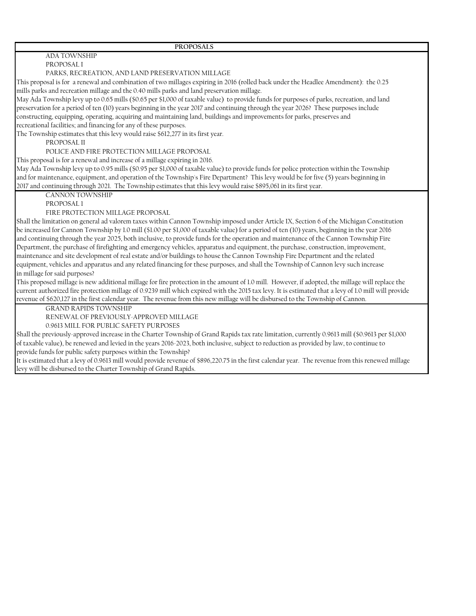#### ADA TOWNSHIP PROPOSAL I

PARKS, RECREATION, AND LAND PRESERVATION MILLAGE

This proposal is for a renewal and combination of two millages expiring in 2016 (rolled back under the Headlee Amendment): the 0.25 mills parks and recreation millage and the 0.40 mills parks and land preservation millage.

May Ada Township levy up to 0.65 mills (\$0.65 per \$1,000 of taxable value) to provide funds for purposes of parks, recreation, and land preservation for a period of ten (10) years beginning in the year 2017 and continuing through the year 2026? These purposes include constructing, equipping, operating, acquiring and maintaining land, buildings and improvements for parks, preserves and

recreational facilities; and financing for any of these purposes.

The Township estimates that this levy would raise \$612,277 in its first year.

PROPOSAL II

POLICE AND FIRE PROTECTION MILLAGE PROPOSAL

This proposal is for a renewal and increase of a millage expiring in 2016.

May Ada Township levy up to 0.95 mills (\$0.95 per \$1,000 of taxable value) to provide funds for police protection within the Township and for maintenance, equipment, and operation of the Township's Fire Department? This levy would be for five (5) years beginning in 2017 and continuing through 2021. The Township estimates that this levy would raise \$895,061 in its first year.

CANNON TOWNSHIP

PROPOSAL 1

FIRE PROTECTION MILLAGE PROPOSAL

Shall the limitation on general ad valorem taxes within Cannon Township imposed under Article IX, Section 6 of the Michigan Constitution be increased for Cannon Township by 1.0 mill (\$1.00 per \$1,000 of taxable value) for a period of ten (10) years, beginning in the year 2016 and continuing through the year 2025, both inclusive, to provide funds for the operation and maintenance of the Cannon Township Fire Department, the purchase of firefighting and emergency vehicles, apparatus and equipment, the purchase, construction, improvement, maintenance and site development of real estate and/or buildings to house the Cannon Township Fire Department and the related equipment, vehicles and apparatus and any related financing for these purposes, and shall the Township of Cannon levy such increase in millage for said purposes?

This proposed millage is new additional millage for fire protection in the amount of 1.0 mill. However, if adopted, the millage will replace the current authorized fire protection millage of 0.9239 mill which expired with the 2015 tax levy. It is estimated that a levy of 1.0 mill will provide revenue of \$620,127 in the first calendar year. The revenue from this new millage will be disbursed to the Township of Cannon.

GRAND RAPIDS TOWNSHIP

RENEWAL OF PREVIOUSLY-APPROVED MILLAGE

0.9613 MILL FOR PUBLIC SAFETY PURPOSES

Shall the previously-approved increase in the Charter Township of Grand Rapids tax rate limitation, currently 0.9613 mill (\$0.9613 per \$1,000 of taxable value), be renewed and levied in the years 2016-2023, both inclusive, subject to reduction as provided by law, to continue to provide funds for public safety purposes within the Township?

It is estimated that a levy of 0.9613 mill would provide revenue of \$896,220.75 in the first calendar year. The revenue from this renewed millage levy will be disbursed to the Charter Township of Grand Rapids.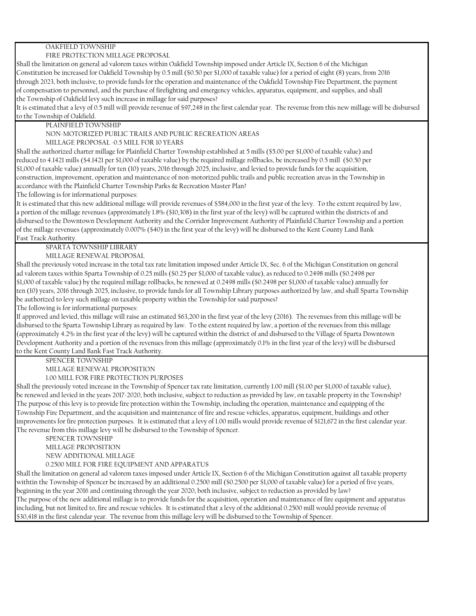## OAKFIELD TOWNSHIP

#### FIRE PROTECTION MILLAGE PROPOSAL

Shall the limitation on general ad valorem taxes within Oakfield Township imposed under Article IX, Section 6 of the Michigan Constitution be increased for Oakfield Township by 0.5 mill (\$0.50 per \$1,000 of taxable value) for a period of eight (8) years, from 2016 through 2023, both inclusive, to provide funds for the operation and maintenance of the Oakfield Township Fire Department, the payment of compensation to personnel, and the purchase of firefighting and emergency vehicles, apparatus, equipment, and supplies, and shall the Township of Oakfield levy such increase in millage for said purposes?

It is estimated that a levy of 0.5 mill will provide revenue of \$97,248 in the first calendar year. The revenue from this new millage will be disbursed to the Township of Oakfield.

PLAINFIELD TOWNSHIP

NON-MOTORIZED PUBLIC TRAILS AND PUBLIC RECREATION AREAS

MILLAGE PROPOSAL -0.5 MILL FOR 10 YEARS

Shall the authorized charter millage for Plainfield Charter Township established at 5 mills (\$5.00 per \$1,000 of taxable value) and reduced to 4.1421 mills (\$4.1421 per \$1,000 of taxable value) by the required millage rollbacks, be increased by 0.5 mill (\$0.50 per \$1,000 of taxable value) annually for ten (10) years, 2016 through 2025, inclusive, and levied to provide funds for the acquisition, construction, improvement, operation and maintenance of non-motorized public trails and public recreation areas in the Township in accordance with the Plainfield Charter Township Parks & Recreation Master Plan?

The following is for informational purposes:

It is estimated that this new additional millage will provide revenues of \$584,000 in the first year of the levy. To the extent required by law, a portion of the millage revenues (approximately 1.8% (\$10,308) in the first year of the levy) will be captured within the districts of and disbursed to the Downtown Development Authority and the Corridor Improvement Authority of Plainfield Charter Township and a portion of the millage revenues (approximately 0.007% (\$40) in the first year of the levy) will be disbursed to the Kent County Land Bank Fast Track Authority.

SPARTA TOWNSHIP LIBRARY

MILLAGE RENEWAL PROPOSAL

Shall the previously voted increase in the total tax rate limitation imposed under Article IX, Sec. 6 of the Michigan Constitution on general ad valorem taxes within Sparta Township of 0.25 mills (\$0.25 per \$1,000 of taxable value), as reduced to 0.2498 mills (\$0.2498 per \$1,000 of taxable value) by the required millage rollbacks, be renewed at 0.2498 mills (\$0.2498 per \$1,000 of taxable value) annually for ten (10) years, 2016 through 2025, inclusive, to provide funds for all Township Library purposes authorized by law, and shall Sparta Township be authorized to levy such millage on taxable property within the Township for said purposes?

The following is for informational purposes:

If approved and levied, this millage will raise an estimated \$63,200 in the first year of the levy (2016). The revenues from this millage will be disbursed to the Sparta Township Library as required by law. To the extent required by law, a portion of the revenues from this millage (approximately 4.2% in the first year of the levy) will be captured within the district of and disbursed to the Village of Sparta Downtown Development Authority and a portion of the revenues from this millage (approximately 0.1% in the first year of the levy) will be disbursed to the Kent County Land Bank Fast Track Authority.

SPENCER TOWNSHIP

MILLAGE RENEWAL PROPOSITION

1.00 MILL FOR FIRE PROTECTION PURPOSES

Shall the previously voted increase in the Township of Spencer tax rate limitation, currently 1.00 mill (\$1.00 per \$1,000 of taxable value), be renewed and levied in the years 2017-2020, both inclusive, subject to reduction as provided by law, on taxable property in the Township? The purpose of this levy is to provide fire protection within the Township, including the operation, maintenance and equipping of the Township Fire Department, and the acquisition and maintenance of fire and rescue vehicles, apparatus, equipment, buildings and other improvements for fire protection purposes. It is estimated that a levy of 1.00 mills would provide revenue of \$121,672 in the first calendar year. The revenue from this millage levy will be disbursed to the Township of Spencer.

SPENCER TOWNSHIP MILLAGE PROPOSITION NEW ADDITIONAL MILLAGE 0.2500 MILL FOR FIRE EQUIPMENT AND APPARATUS

Shall the limitation on general ad valorem taxes imposed under Article IX, Section 6 of the Michigan Constitution against all taxable property withtin the Township of Spencer be increased by an additional 0.2500 mill (\$0.2500 per \$1,000 of taxable value) for a period of five years, beginning in the year 2016 and continuing through the year 2020, both inclusive, subject to reduction as provided by law? The purpose of the new additional millage is to provide funds for the acquisition, operation and maintenance of fire equipment and apparatus including, but not limited to, fire and rescue vehicles. It is estimated that a levy of the additional 0.2500 mill would provide revenue of \$30,418 in the first calendar year. The revenue from this millage levy will be disbursed to the Township of Spencer.